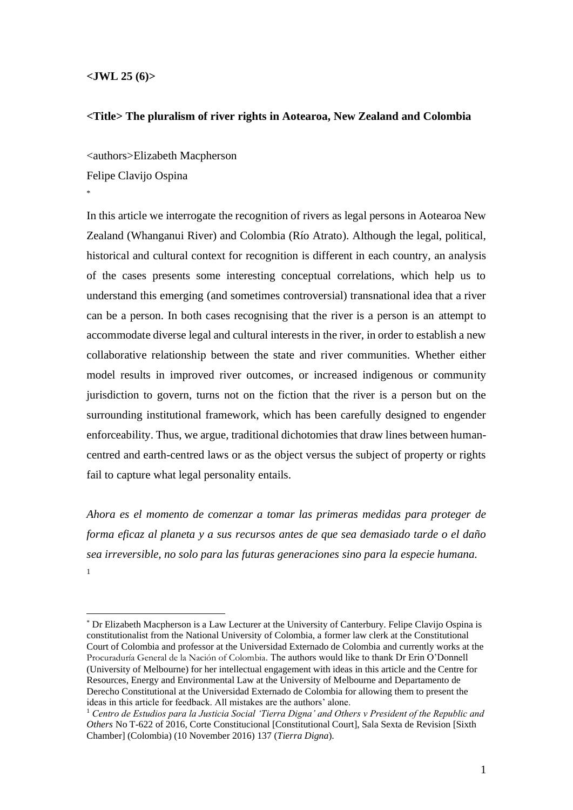## **<JWL 25 (6)>**

## **<Title> The pluralism of river rights in Aotearoa, New Zealand and Colombia**

<authors>Elizabeth Macpherson Felipe Clavijo Ospina \*

In this article we interrogate the recognition of rivers as legal persons in Aotearoa New Zealand (Whanganui River) and Colombia (Río Atrato). Although the legal, political, historical and cultural context for recognition is different in each country, an analysis of the cases presents some interesting conceptual correlations, which help us to understand this emerging (and sometimes controversial) transnational idea that a river can be a person. In both cases recognising that the river is a person is an attempt to accommodate diverse legal and cultural interests in the river, in order to establish a new collaborative relationship between the state and river communities. Whether either model results in improved river outcomes, or increased indigenous or community jurisdiction to govern, turns not on the fiction that the river is a person but on the surrounding institutional framework, which has been carefully designed to engender enforceability. Thus, we argue, traditional dichotomies that draw lines between humancentred and earth-centred laws or as the object versus the subject of property or rights fail to capture what legal personality entails.

*Ahora es el momento de comenzar a tomar las primeras medidas para proteger de forma eficaz al planeta y a sus recursos antes de que sea demasiado tarde o el daño sea irreversible, no solo para las futuras generaciones sino para la especie humana.* 1

<sup>\*</sup> Dr Elizabeth Macpherson is a Law Lecturer at the University of Canterbury. Felipe Clavijo Ospina is constitutionalist from the National University of Colombia, a former law clerk at the Constitutional Court of Colombia and professor at the Universidad Externado de Colombia and currently works at the Procuraduría General de la Nación of Colombia. The authors would like to thank Dr Erin O'Donnell (University of Melbourne) for her intellectual engagement with ideas in this article and the Centre for Resources, Energy and Environmental Law at the University of Melbourne and Departamento de Derecho Constitutional at the Universidad Externado de Colombia for allowing them to present the ideas in this article for feedback. All mistakes are the authors' alone.

<sup>1</sup> *Centro de Estudios para la Justicia Social 'Tierra Digna' and Others v President of the Republic and Others* No T-622 of 2016, Corte Constitucional [Constitutional Court], Sala Sexta de Revision [Sixth Chamber] (Colombia) (10 November 2016) 137 (*Tierra Digna*).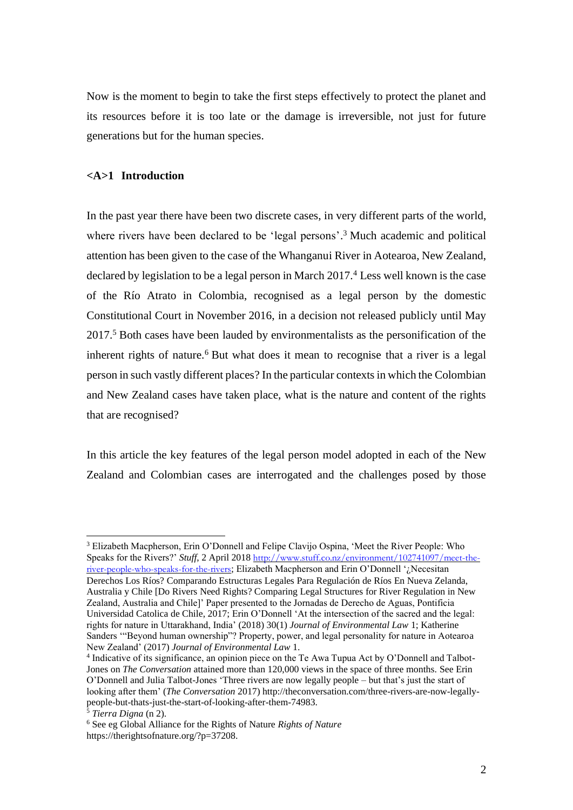Now is the moment to begin to take the first steps effectively to protect the planet and its resources before it is too late or the damage is irreversible, not just for future generations but for the human species.

## **<A>1 Introduction**

In the past year there have been two discrete cases, in very different parts of the world, where rivers have been declared to be 'legal persons'.<sup>3</sup> Much academic and political attention has been given to the case of the Whanganui River in Aotearoa, New Zealand, declared by legislation to be a legal person in March 2017.<sup>4</sup> Less well known is the case of the Río Atrato in Colombia, recognised as a legal person by the domestic Constitutional Court in November 2016, in a decision not released publicly until May 2017. <sup>5</sup> Both cases have been lauded by environmentalists as the personification of the inherent rights of nature.<sup>6</sup> But what does it mean to recognise that a river is a legal person in such vastly different places? In the particular contexts in which the Colombian and New Zealand cases have taken place, what is the nature and content of the rights that are recognised?

In this article the key features of the legal person model adopted in each of the New Zealand and Colombian cases are interrogated and the challenges posed by those

<sup>3</sup> Elizabeth Macpherson, Erin O'Donnell and Felipe Clavijo Ospina, 'Meet the River People: Who Speaks for the Rivers?' *Stuff*, 2 April 2018 [http://www.stuff.co.nz/environment/102741097/meet-the](http://www.stuff.co.nz/environment/102741097/meet-the-river-people-who-speaks-for-the-rivers)[river-people-who-speaks-for-the-rivers](http://www.stuff.co.nz/environment/102741097/meet-the-river-people-who-speaks-for-the-rivers); Elizabeth Macpherson and Erin O'Donnell '¿Necesitan Derechos Los Ríos? Comparando Estructuras Legales Para Regulación de Ríos En Nueva Zelanda,

Australia y Chile [Do Rivers Need Rights? Comparing Legal Structures for River Regulation in New Zealand, Australia and Chile]' Paper presented to the Jornadas de Derecho de Aguas, Pontificia Universidad Catolica de Chile, 2017; Erin O'Donnell 'At the intersection of the sacred and the legal: rights for nature in Uttarakhand, India' (2018) 30(1) *Journal of Environmental Law* 1; Katherine Sanders '"Beyond human ownership"? Property, power, and legal personality for nature in Aotearoa New Zealand' (2017) *Journal of Environmental Law* 1.

<sup>4</sup> Indicative of its significance, an opinion piece on the Te Awa Tupua Act by O'Donnell and Talbot-Jones on *The Conversation* attained more than 120,000 views in the space of three months. See Erin O'Donnell and Julia Talbot-Jones 'Three rivers are now legally people – but that's just the start of looking after them' (*The Conversation* 2017) http://theconversation.com/three-rivers-are-now-legallypeople-but-thats-just-the-start-of-looking-after-them-74983.

<sup>5</sup> *Tierra Digna* (n 2).

<sup>6</sup> See eg Global Alliance for the Rights of Nature *Rights of Nature* https://therightsofnature.org/?p=37208.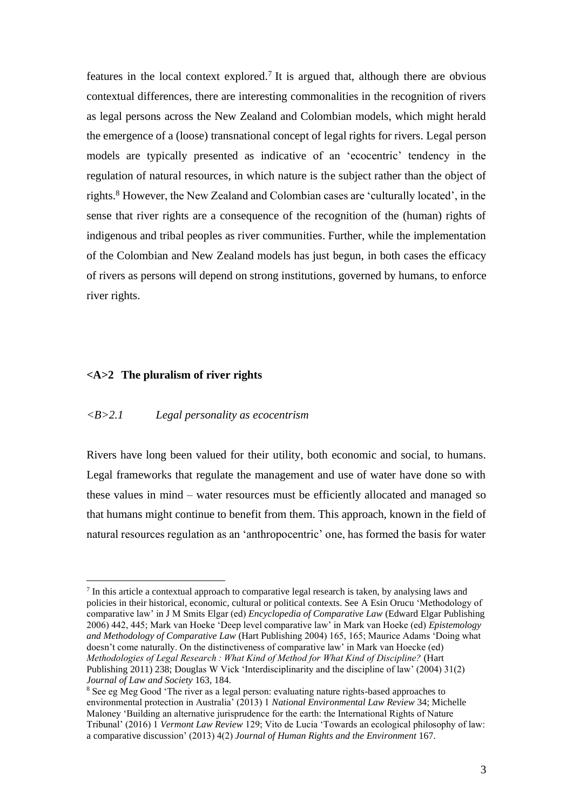features in the local context explored.<sup>7</sup> It is argued that, although there are obvious contextual differences, there are interesting commonalities in the recognition of rivers as legal persons across the New Zealand and Colombian models, which might herald the emergence of a (loose) transnational concept of legal rights for rivers. Legal person models are typically presented as indicative of an 'ecocentric' tendency in the regulation of natural resources, in which nature is the subject rather than the object of rights. <sup>8</sup> However, the New Zealand and Colombian cases are 'culturally located', in the sense that river rights are a consequence of the recognition of the (human) rights of indigenous and tribal peoples as river communities. Further, while the implementation of the Colombian and New Zealand models has just begun, in both cases the efficacy of rivers as persons will depend on strong institutions, governed by humans, to enforce river rights.

## **<A>2 The pluralism of river rights**

## *<B>2.1 Legal personality as ecocentrism*

Rivers have long been valued for their utility, both economic and social, to humans. Legal frameworks that regulate the management and use of water have done so with these values in mind – water resources must be efficiently allocated and managed so that humans might continue to benefit from them. This approach, known in the field of natural resources regulation as an 'anthropocentric' one, has formed the basis for water

<sup>&</sup>lt;sup>7</sup> In this article a contextual approach to comparative legal research is taken, by analysing laws and policies in their historical, economic, cultural or political contexts. See A Esin Orucu 'Methodology of comparative law' in J M Smits Elgar (ed) *Encyclopedia of Comparative Law* (Edward Elgar Publishing 2006) 442, 445; Mark van Hoeke 'Deep level comparative law' in Mark van Hoeke (ed) *Epistemology and Methodology of Comparative Law* (Hart Publishing 2004) 165, 165; Maurice Adams 'Doing what doesn't come naturally. On the distinctiveness of comparative law' in Mark van Hoecke (ed) *Methodologies of Legal Research : What Kind of Method for What Kind of Discipline?* (Hart Publishing 2011) 238; Douglas W Vick 'Interdisciplinarity and the discipline of law' (2004) 31(2) *Journal of Law and Society* 163, 184.

<sup>&</sup>lt;sup>8</sup> See eg Meg Good 'The river as a legal person: evaluating nature rights-based approaches to environmental protection in Australia' (2013) 1 *National Environmental Law Review* 34; Michelle Maloney 'Building an alternative jurisprudence for the earth: the International Rights of Nature Tribunal' (2016) 1 *Vermont Law Review* 129; Vito de Lucia 'Towards an ecological philosophy of law: a comparative discussion' (2013) 4(2) *Journal of Human Rights and the Environment* 167.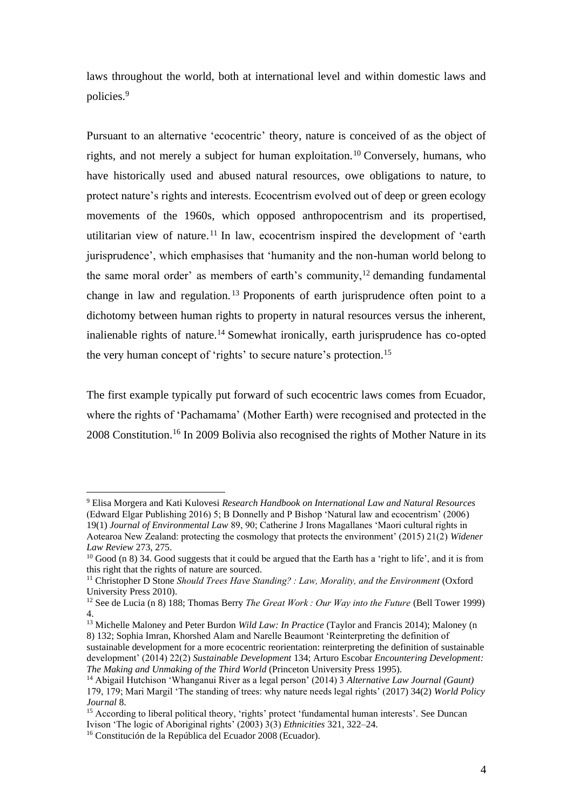laws throughout the world, both at international level and within domestic laws and policies.<sup>9</sup>

Pursuant to an alternative 'ecocentric' theory, nature is conceived of as the object of rights, and not merely a subject for human exploitation.<sup>10</sup> Conversely, humans, who have historically used and abused natural resources, owe obligations to nature, to protect nature's rights and interests. Ecocentrism evolved out of deep or green ecology movements of the 1960s, which opposed anthropocentrism and its propertised, utilitarian view of nature.<sup>11</sup> In law, ecocentrism inspired the development of 'earth jurisprudence', which emphasises that 'humanity and the non-human world belong to the same moral order' as members of earth's community,<sup>12</sup> demanding fundamental change in law and regulation. <sup>13</sup> Proponents of earth jurisprudence often point to a dichotomy between human rights to property in natural resources versus the inherent, inalienable rights of nature.<sup>14</sup> Somewhat ironically, earth jurisprudence has co-opted the very human concept of 'rights' to secure nature's protection.<sup>15</sup>

The first example typically put forward of such ecocentric laws comes from Ecuador, where the rights of 'Pachamama' (Mother Earth) were recognised and protected in the 2008 Constitution.<sup>16</sup> In 2009 Bolivia also recognised the rights of Mother Nature in its

<sup>9</sup> Elisa Morgera and Kati Kulovesi *Research Handbook on International Law and Natural Resources* (Edward Elgar Publishing 2016) 5; B Donnelly and P Bishop 'Natural law and ecocentrism' (2006) 19(1) *Journal of Environmental Law* 89, 90; Catherine J Irons Magallanes 'Maori cultural rights in Aotearoa New Zealand: protecting the cosmology that protects the environment' (2015) 21(2) *Widener Law Review* 273, 275.

 $10$  Good (n 8) 34. Good suggests that it could be argued that the Earth has a 'right to life', and it is from this right that the rights of nature are sourced.

<sup>11</sup> Christopher D Stone *Should Trees Have Standing? : Law, Morality, and the Environment* (Oxford University Press 2010).

<sup>12</sup> See de Lucia (n 8) 188; Thomas Berry *The Great Work : Our Way into the Future* (Bell Tower 1999) 4.

<sup>&</sup>lt;sup>13</sup> Michelle Maloney and Peter Burdon *Wild Law: In Practice* (Taylor and Francis 2014); Maloney (n 8) 132; Sophia Imran, Khorshed Alam and Narelle Beaumont 'Reinterpreting the definition of sustainable development for a more ecocentric reorientation: reinterpreting the definition of sustainable

development' (2014) 22(2) *Sustainable Development* 134; Arturo Escobar *Encountering Development: The Making and Unmaking of the Third World* (Princeton University Press 1995).

<sup>14</sup> Abigail Hutchison 'Whanganui River as a legal person' (2014) 3 *Alternative Law Journal (Gaunt)* 179, 179; Mari Margil 'The standing of trees: why nature needs legal rights' (2017) 34(2) *World Policy Journal* 8.

<sup>&</sup>lt;sup>15</sup> According to liberal political theory, 'rights' protect 'fundamental human interests'. See Duncan Ivison 'The logic of Aboriginal rights' (2003) 3(3) *Ethnicities* 321, 322–24.

<sup>16</sup> Constitución de la República del Ecuador 2008 (Ecuador).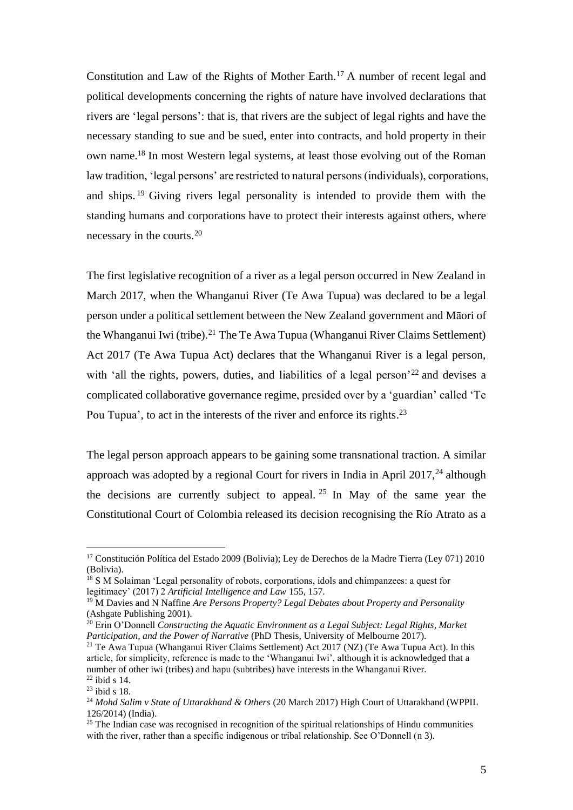Constitution and Law of the Rights of Mother Earth.<sup>17</sup> A number of recent legal and political developments concerning the rights of nature have involved declarations that rivers are 'legal persons': that is, that rivers are the subject of legal rights and have the necessary standing to sue and be sued, enter into contracts, and hold property in their own name. <sup>18</sup> In most Western legal systems, at least those evolving out of the Roman law tradition, 'legal persons' are restricted to natural persons (individuals), corporations, and ships. <sup>19</sup> Giving rivers legal personality is intended to provide them with the standing humans and corporations have to protect their interests against others, where necessary in the courts.<sup>20</sup>

The first legislative recognition of a river as a legal person occurred in New Zealand in March 2017, when the Whanganui River (Te Awa Tupua) was declared to be a legal person under a political settlement between the New Zealand government and Māori of the Whanganui Iwi (tribe).<sup>21</sup> The Te Awa Tupua (Whanganui River Claims Settlement) Act 2017 (Te Awa Tupua Act) declares that the Whanganui River is a legal person, with 'all the rights, powers, duties, and liabilities of a legal person<sup>-22</sup> and devises a complicated collaborative governance regime, presided over by a 'guardian' called 'Te Pou Tupua', to act in the interests of the river and enforce its rights.<sup>23</sup>

The legal person approach appears to be gaining some transnational traction. A similar approach was adopted by a regional Court for rivers in India in April 2017,  $^{24}$  although the decisions are currently subject to appeal. <sup>25</sup> In May of the same year the Constitutional Court of Colombia released its decision recognising the Río Atrato as a

<sup>17</sup> Constitución Política del Estado 2009 (Bolivia); Ley de Derechos de la Madre Tierra (Ley 071) 2010 (Bolivia).

<sup>18</sup> S M Solaiman 'Legal personality of robots, corporations, idols and chimpanzees: a quest for legitimacy' (2017) 2 *Artificial Intelligence and Law* 155, 157.

<sup>19</sup> M Davies and N Naffine *Are Persons Property? Legal Debates about Property and Personality* (Ashgate Publishing 2001).

<sup>20</sup> Erin O'Donnell *Constructing the Aquatic Environment as a Legal Subject: Legal Rights, Market Participation, and the Power of Narrative* (PhD Thesis, University of Melbourne 2017).

<sup>&</sup>lt;sup>21</sup> Te Awa Tupua (Whanganui River Claims Settlement) Act 2017 (NZ) (Te Awa Tupua Act). In this article, for simplicity, reference is made to the 'Whanganui Iwi', although it is acknowledged that a number of other iwi (tribes) and hapu (subtribes) have interests in the Whanganui River.

<sup>22</sup> ibid s 14.  $23$  ibid s 18.

<sup>&</sup>lt;sup>24</sup> Mohd Salim v State of Uttarakhand & Others (20 March 2017) High Court of Uttarakhand (WPPIL 126/2014) (India).

 $25$  The Indian case was recognised in recognition of the spiritual relationships of Hindu communities with the river, rather than a specific indigenous or tribal relationship. See O'Donnell (n 3).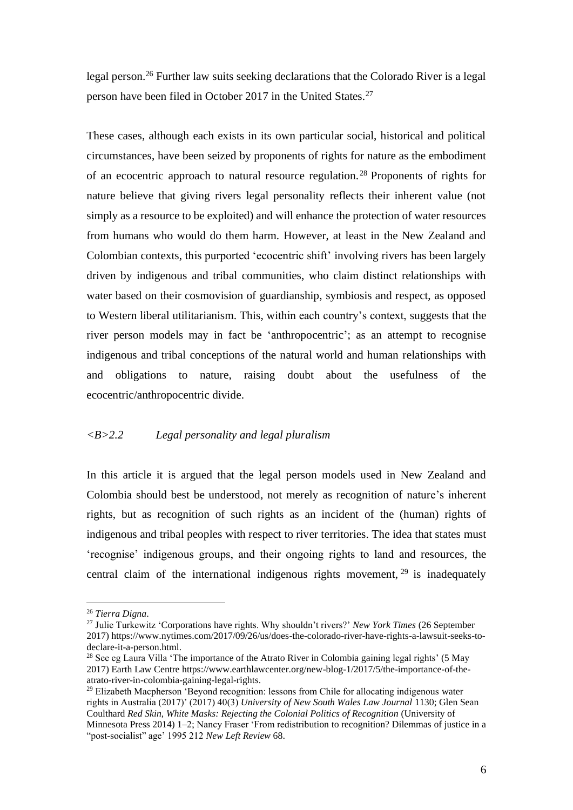legal person. <sup>26</sup> Further law suits seeking declarations that the Colorado River is a legal person have been filed in October 2017 in the United States.<sup>27</sup>

These cases, although each exists in its own particular social, historical and political circumstances, have been seized by proponents of rights for nature as the embodiment of an ecocentric approach to natural resource regulation. <sup>28</sup> Proponents of rights for nature believe that giving rivers legal personality reflects their inherent value (not simply as a resource to be exploited) and will enhance the protection of water resources from humans who would do them harm. However, at least in the New Zealand and Colombian contexts, this purported 'ecocentric shift' involving rivers has been largely driven by indigenous and tribal communities, who claim distinct relationships with water based on their cosmovision of guardianship, symbiosis and respect, as opposed to Western liberal utilitarianism. This, within each country's context, suggests that the river person models may in fact be 'anthropocentric'; as an attempt to recognise indigenous and tribal conceptions of the natural world and human relationships with and obligations to nature, raising doubt about the usefulness of the ecocentric/anthropocentric divide.

## *<B>2.2 Legal personality and legal pluralism*

In this article it is argued that the legal person models used in New Zealand and Colombia should best be understood, not merely as recognition of nature's inherent rights, but as recognition of such rights as an incident of the (human) rights of indigenous and tribal peoples with respect to river territories. The idea that states must 'recognise' indigenous groups, and their ongoing rights to land and resources, the central claim of the international indigenous rights movement,  $29$  is inadequately

<sup>26</sup> *Tierra Digna*.

<sup>27</sup> Julie Turkewitz 'Corporations have rights. Why shouldn't rivers?' *New York Times* (26 September 2017) https://www.nytimes.com/2017/09/26/us/does-the-colorado-river-have-rights-a-lawsuit-seeks-todeclare-it-a-person.html.

<sup>&</sup>lt;sup>28</sup> See eg Laura Villa 'The importance of the Atrato River in Colombia gaining legal rights' (5 May 2017) Earth Law Centre https://www.earthlawcenter.org/new-blog-1/2017/5/the-importance-of-theatrato-river-in-colombia-gaining-legal-rights.

<sup>&</sup>lt;sup>29</sup> Elizabeth Macpherson 'Beyond recognition: lessons from Chile for allocating indigenous water rights in Australia (2017)' (2017) 40(3) *University of New South Wales Law Journal* 1130; Glen Sean Coulthard *Red Skin, White Masks: Rejecting the Colonial Politics of Recognition* (University of Minnesota Press 2014) 1–2; Nancy Fraser 'From redistribution to recognition? Dilemmas of justice in a "post-socialist" age' 1995 212 *New Left Review* 68.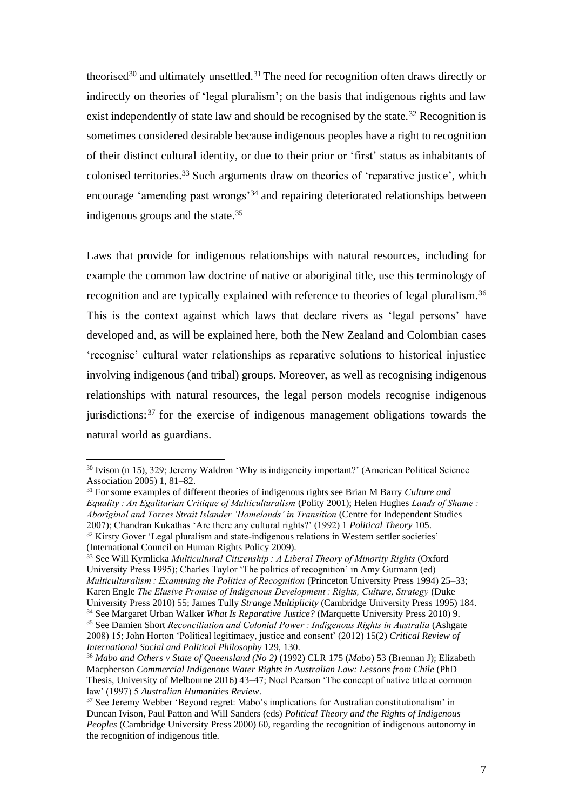theorised<sup>30</sup> and ultimately unsettled.<sup>31</sup> The need for recognition often draws directly or indirectly on theories of 'legal pluralism'; on the basis that indigenous rights and law exist independently of state law and should be recognised by the state.<sup>32</sup> Recognition is sometimes considered desirable because indigenous peoples have a right to recognition of their distinct cultural identity, or due to their prior or 'first' status as inhabitants of colonised territories. <sup>33</sup> Such arguments draw on theories of 'reparative justice', which encourage 'amending past wrongs'<sup>34</sup> and repairing deteriorated relationships between indigenous groups and the state.<sup>35</sup>

Laws that provide for indigenous relationships with natural resources, including for example the common law doctrine of native or aboriginal title, use this terminology of recognition and are typically explained with reference to theories of legal pluralism.<sup>36</sup> This is the context against which laws that declare rivers as 'legal persons' have developed and, as will be explained here, both the New Zealand and Colombian cases 'recognise' cultural water relationships as reparative solutions to historical injustice involving indigenous (and tribal) groups. Moreover, as well as recognising indigenous relationships with natural resources, the legal person models recognise indigenous jurisdictions: $37$  for the exercise of indigenous management obligations towards the natural world as guardians.

<sup>33</sup> See Will Kymlicka *Multicultural Citizenship : A Liberal Theory of Minority Rights* (Oxford University Press 1995); Charles Taylor 'The politics of recognition' in Amy Gutmann (ed) *Multiculturalism : Examining the Politics of Recognition* (Princeton University Press 1994) 25–33; Karen Engle *The Elusive Promise of Indigenous Development : Rights, Culture, Strategy* (Duke

<sup>&</sup>lt;sup>30</sup> Ivison (n 15), 329; Jeremy Waldron 'Why is indigeneity important?' (American Political Science Association 2005) 1, 81–82.

<sup>31</sup> For some examples of different theories of indigenous rights see Brian M Barry *Culture and Equality : An Egalitarian Critique of Multiculturalism* (Polity 2001); Helen Hughes *Lands of Shame : Aboriginal and Torres Strait Islander 'Homelands' in Transition* (Centre for Independent Studies 2007); Chandran Kukathas 'Are there any cultural rights?' (1992) 1 *Political Theory* 105. <sup>32</sup> Kirsty Gover 'Legal pluralism and state-indigenous relations in Western settler societies' (International Council on Human Rights Policy 2009).

University Press 2010) 55; James Tully *Strange Multiplicity* (Cambridge University Press 1995) 184.

<sup>34</sup> See Margaret Urban Walker *What Is Reparative Justice?* (Marquette University Press 2010) 9. <sup>35</sup> See Damien Short *Reconciliation and Colonial Power : Indigenous Rights in Australia* (Ashgate 2008) 15; John Horton 'Political legitimacy, justice and consent' (2012) 15(2) *Critical Review of International Social and Political Philosophy* 129, 130.

<sup>36</sup> *Mabo and Others v State of Queensland (No 2)* (1992) CLR 175 (*Mabo*) 53 (Brennan J); Elizabeth Macpherson *Commercial Indigenous Water Rights in Australian Law: Lessons from Chile* (PhD Thesis, University of Melbourne 2016) 43–47; Noel Pearson 'The concept of native title at common law' (1997) 5 *Australian Humanities Review*.

 $37$  See Jeremy Webber 'Beyond regret: Mabo's implications for Australian constitutionalism' in Duncan Ivison, Paul Patton and Will Sanders (eds) *Political Theory and the Rights of Indigenous Peoples* (Cambridge University Press 2000) 60, regarding the recognition of indigenous autonomy in the recognition of indigenous title.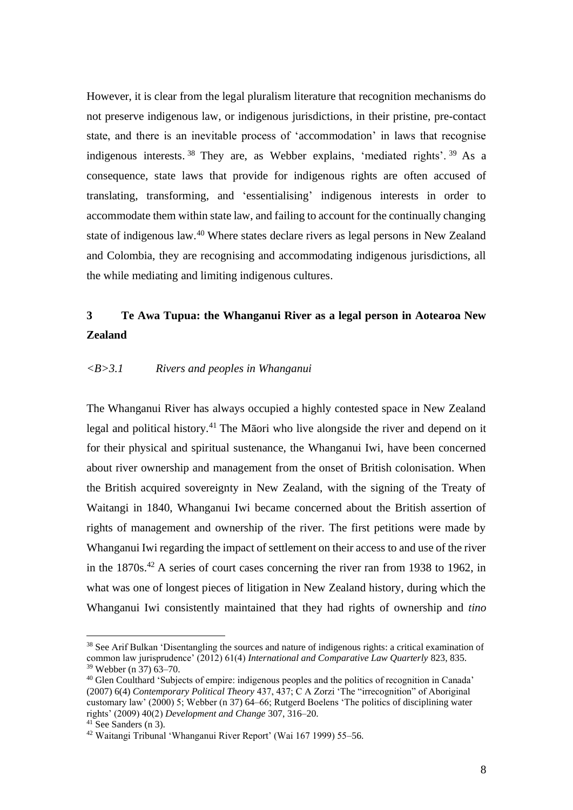However, it is clear from the legal pluralism literature that recognition mechanisms do not preserve indigenous law, or indigenous jurisdictions, in their pristine, pre-contact state, and there is an inevitable process of 'accommodation' in laws that recognise indigenous interests.<sup>38</sup> They are, as Webber explains, 'mediated rights'.<sup>39</sup> As a consequence, state laws that provide for indigenous rights are often accused of translating, transforming, and 'essentialising' indigenous interests in order to accommodate them within state law, and failing to account for the continually changing state of indigenous law.<sup>40</sup> Where states declare rivers as legal persons in New Zealand and Colombia, they are recognising and accommodating indigenous jurisdictions, all the while mediating and limiting indigenous cultures.

# **3 Te Awa Tupua: the Whanganui River as a legal person in Aotearoa New Zealand**

## *<B>3.1 Rivers and peoples in Whanganui*

The Whanganui River has always occupied a highly contested space in New Zealand legal and political history.<sup>41</sup> The Māori who live alongside the river and depend on it for their physical and spiritual sustenance, the Whanganui Iwi, have been concerned about river ownership and management from the onset of British colonisation. When the British acquired sovereignty in New Zealand, with the signing of the Treaty of Waitangi in 1840, Whanganui Iwi became concerned about the British assertion of rights of management and ownership of the river. The first petitions were made by Whanganui Iwi regarding the impact of settlement on their access to and use of the river in the 1870s.<sup>42</sup> A series of court cases concerning the river ran from 1938 to 1962, in what was one of longest pieces of litigation in New Zealand history, during which the Whanganui Iwi consistently maintained that they had rights of ownership and *tino* 

<sup>&</sup>lt;sup>38</sup> See Arif Bulkan 'Disentangling the sources and nature of indigenous rights: a critical examination of common law jurisprudence' (2012) 61(4) *International and Comparative Law Quarterly* 823, 835. <sup>39</sup> Webber (n 37) 63–70.

<sup>40</sup> Glen Coulthard 'Subjects of empire: indigenous peoples and the politics of recognition in Canada' (2007) 6(4) *Contemporary Political Theory* 437, 437; C A Zorzi 'The "irrecognition" of Aboriginal customary law' (2000) 5; Webber (n 37) 64–66; Rutgerd Boelens 'The politics of disciplining water rights' (2009) 40(2) *Development and Change* 307, 316–20.

 $41$  See Sanders (n 3).

<sup>42</sup> Waitangi Tribunal 'Whanganui River Report' (Wai 167 1999) 55–56.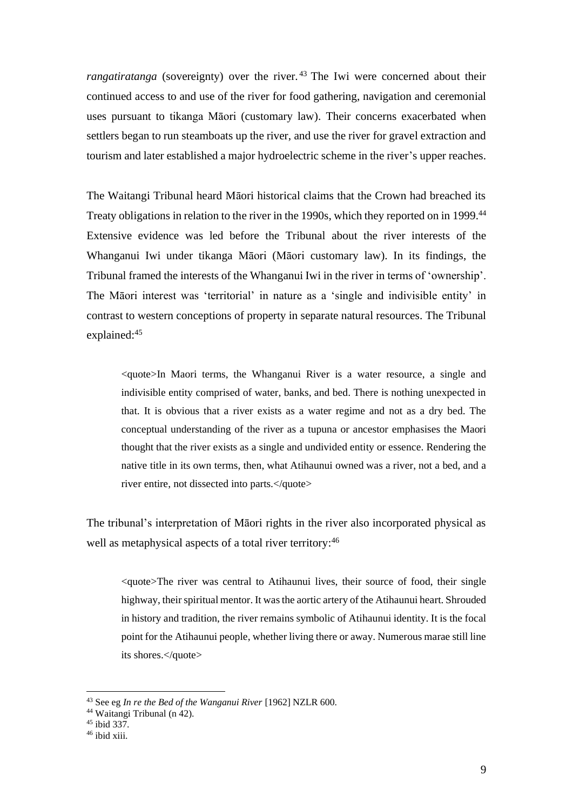*rangatiratanga* (sovereignty) over the river.<sup>43</sup> The Iwi were concerned about their continued access to and use of the river for food gathering, navigation and ceremonial uses pursuant to tikanga Māori (customary law). Their concerns exacerbated when settlers began to run steamboats up the river, and use the river for gravel extraction and tourism and later established a major hydroelectric scheme in the river's upper reaches.

The Waitangi Tribunal heard Māori historical claims that the Crown had breached its Treaty obligations in relation to the river in the 1990s, which they reported on in 1999.<sup>44</sup> Extensive evidence was led before the Tribunal about the river interests of the Whanganui Iwi under tikanga Māori (Māori customary law). In its findings, the Tribunal framed the interests of the Whanganui Iwi in the river in terms of 'ownership'. The Māori interest was 'territorial' in nature as a 'single and indivisible entity' in contrast to western conceptions of property in separate natural resources. The Tribunal explained:<sup>45</sup>

<quote>In Maori terms, the Whanganui River is a water resource, a single and indivisible entity comprised of water, banks, and bed. There is nothing unexpected in that. It is obvious that a river exists as a water regime and not as a dry bed. The conceptual understanding of the river as a tupuna or ancestor emphasises the Maori thought that the river exists as a single and undivided entity or essence. Rendering the native title in its own terms, then, what Atihaunui owned was a river, not a bed, and a river entire, not dissected into parts.</quote>

The tribunal's interpretation of Māori rights in the river also incorporated physical as well as metaphysical aspects of a total river territory:<sup>46</sup>

<quote>The river was central to Atihaunui lives, their source of food, their single highway, their spiritual mentor. It was the aortic artery of the Atihaunui heart. Shrouded in history and tradition, the river remains symbolic of Atihaunui identity. It is the focal point for the Atihaunui people, whether living there or away. Numerous marae still line its shores.</quote>

<sup>43</sup> See eg *In re the Bed of the Wanganui River* [1962] NZLR 600.

<sup>44</sup> Waitangi Tribunal (n 42).

 $45$  ibid 337

 $46$  ibid xiii.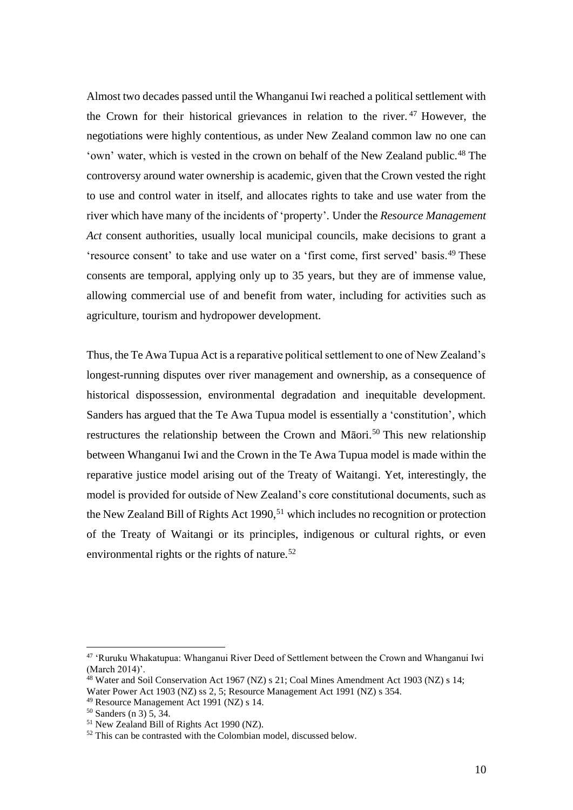Almost two decades passed until the Whanganui Iwi reached a political settlement with the Crown for their historical grievances in relation to the river. <sup>47</sup> However, the negotiations were highly contentious, as under New Zealand common law no one can 'own' water, which is vested in the crown on behalf of the New Zealand public.<sup>48</sup> The controversy around water ownership is academic, given that the Crown vested the right to use and control water in itself, and allocates rights to take and use water from the river which have many of the incidents of 'property'. Under the *Resource Management Act* consent authorities, usually local municipal councils, make decisions to grant a 'resource consent' to take and use water on a 'first come, first served' basis.<sup>49</sup> These consents are temporal, applying only up to 35 years, but they are of immense value, allowing commercial use of and benefit from water, including for activities such as agriculture, tourism and hydropower development.

Thus, the Te Awa Tupua Act is a reparative political settlement to one of New Zealand's longest-running disputes over river management and ownership, as a consequence of historical dispossession, environmental degradation and inequitable development. Sanders has argued that the Te Awa Tupua model is essentially a 'constitution', which restructures the relationship between the Crown and Māori.<sup>50</sup> This new relationship between Whanganui Iwi and the Crown in the Te Awa Tupua model is made within the reparative justice model arising out of the Treaty of Waitangi. Yet, interestingly, the model is provided for outside of New Zealand's core constitutional documents, such as the New Zealand Bill of Rights Act 1990,<sup>51</sup> which includes no recognition or protection of the Treaty of Waitangi or its principles, indigenous or cultural rights, or even environmental rights or the rights of nature.<sup>52</sup>

<sup>&</sup>lt;sup>47</sup> 'Ruruku Whakatupua: Whanganui River Deed of Settlement between the Crown and Whanganui Iwi (March 2014)'.

<sup>48</sup> Water and Soil Conservation Act 1967 (NZ) s 21; Coal Mines Amendment Act 1903 (NZ) s 14; Water Power Act 1903 (NZ) ss 2, 5; Resource Management Act 1991 (NZ) s 354.

<sup>49</sup> Resource Management Act 1991 (NZ) s 14.

<sup>50</sup> Sanders (n 3) 5, 34.

<sup>51</sup> New Zealand Bill of Rights Act 1990 (NZ).

 $52$  This can be contrasted with the Colombian model, discussed below.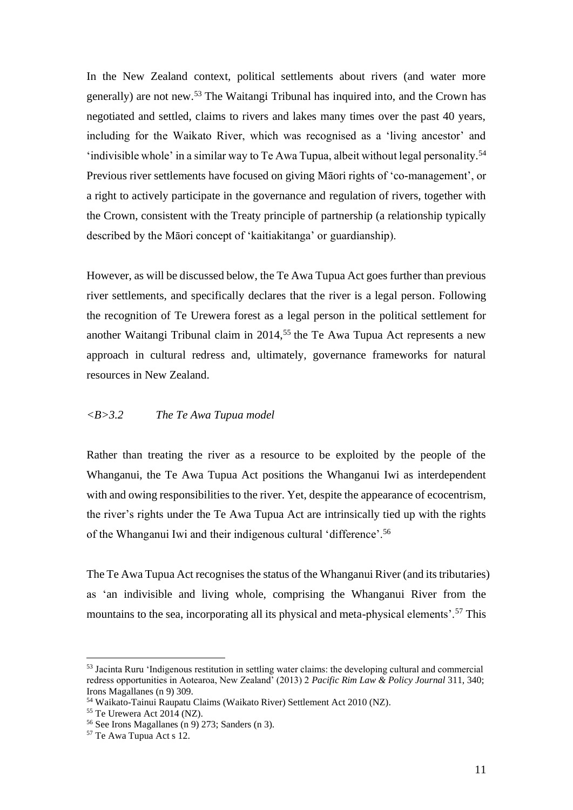In the New Zealand context, political settlements about rivers (and water more generally) are not new.<sup>53</sup> The Waitangi Tribunal has inquired into, and the Crown has negotiated and settled, claims to rivers and lakes many times over the past 40 years, including for the Waikato River, which was recognised as a 'living ancestor' and 'indivisible whole' in a similar way to Te Awa Tupua, albeit without legal personality.<sup>54</sup> Previous river settlements have focused on giving Māori rights of 'co-management', or a right to actively participate in the governance and regulation of rivers, together with the Crown, consistent with the Treaty principle of partnership (a relationship typically described by the Māori concept of 'kaitiakitanga' or guardianship).

However, as will be discussed below, the Te Awa Tupua Act goes further than previous river settlements, and specifically declares that the river is a legal person. Following the recognition of Te Urewera forest as a legal person in the political settlement for another Waitangi Tribunal claim in  $2014$ <sup>55</sup> the Te Awa Tupua Act represents a new approach in cultural redress and, ultimately, governance frameworks for natural resources in New Zealand.

## *<B>3.2 The Te Awa Tupua model*

Rather than treating the river as a resource to be exploited by the people of the Whanganui, the Te Awa Tupua Act positions the Whanganui Iwi as interdependent with and owing responsibilities to the river. Yet, despite the appearance of ecocentrism, the river's rights under the Te Awa Tupua Act are intrinsically tied up with the rights of the Whanganui Iwi and their indigenous cultural 'difference'.<sup>56</sup>

The Te Awa Tupua Act recognises the status of the Whanganui River (and its tributaries) as 'an indivisible and living whole, comprising the Whanganui River from the mountains to the sea, incorporating all its physical and meta-physical elements'.<sup>57</sup> This

<sup>53</sup> Jacinta Ruru 'Indigenous restitution in settling water claims: the developing cultural and commercial redress opportunities in Aotearoa, New Zealand' (2013) 2 *Pacific Rim Law & Policy Journal* 311, 340; Irons Magallanes (n 9) 309.

<sup>54</sup> Waikato-Tainui Raupatu Claims (Waikato River) Settlement Act 2010 (NZ).

<sup>55</sup> Te Urewera Act 2014 (NZ).

<sup>56</sup> See Irons Magallanes (n 9) 273; Sanders (n 3).

<sup>57</sup> Te Awa Tupua Act s 12.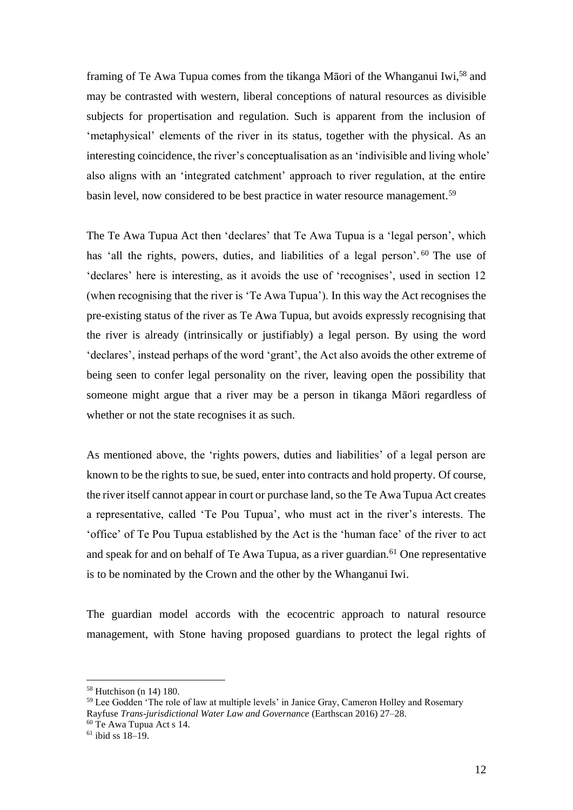framing of Te Awa Tupua comes from the tikanga Māori of the Whanganui Iwi,<sup>58</sup> and may be contrasted with western, liberal conceptions of natural resources as divisible subjects for propertisation and regulation. Such is apparent from the inclusion of 'metaphysical' elements of the river in its status, together with the physical. As an interesting coincidence, the river's conceptualisation as an 'indivisible and living whole' also aligns with an 'integrated catchment' approach to river regulation, at the entire basin level, now considered to be best practice in water resource management.<sup>59</sup>

The Te Awa Tupua Act then 'declares' that Te Awa Tupua is a 'legal person', which has 'all the rights, powers, duties, and liabilities of a legal person'.<sup>60</sup> The use of 'declares' here is interesting, as it avoids the use of 'recognises', used in section 12 (when recognising that the river is 'Te Awa Tupua'). In this way the Act recognises the pre-existing status of the river as Te Awa Tupua, but avoids expressly recognising that the river is already (intrinsically or justifiably) a legal person. By using the word 'declares', instead perhaps of the word 'grant', the Act also avoids the other extreme of being seen to confer legal personality on the river, leaving open the possibility that someone might argue that a river may be a person in tikanga Māori regardless of whether or not the state recognises it as such.

As mentioned above, the 'rights powers, duties and liabilities' of a legal person are known to be the rights to sue, be sued, enter into contracts and hold property. Of course, the river itself cannot appear in court or purchase land, so the Te Awa Tupua Act creates a representative, called 'Te Pou Tupua', who must act in the river's interests. The 'office' of Te Pou Tupua established by the Act is the 'human face' of the river to act and speak for and on behalf of Te Awa Tupua, as a river guardian.<sup> $61$ </sup> One representative is to be nominated by the Crown and the other by the Whanganui Iwi.

The guardian model accords with the ecocentric approach to natural resource management, with Stone having proposed guardians to protect the legal rights of

<sup>58</sup> Hutchison (n 14) 180.

<sup>&</sup>lt;sup>59</sup> Lee Godden 'The role of law at multiple levels' in Janice Gray, Cameron Holley and Rosemary Rayfuse *Trans-jurisdictional Water Law and Governance* (Earthscan 2016) 27–28.

<sup>60</sup> Te Awa Tupua Act s 14.

 $61$  ibid ss  $18-19$ .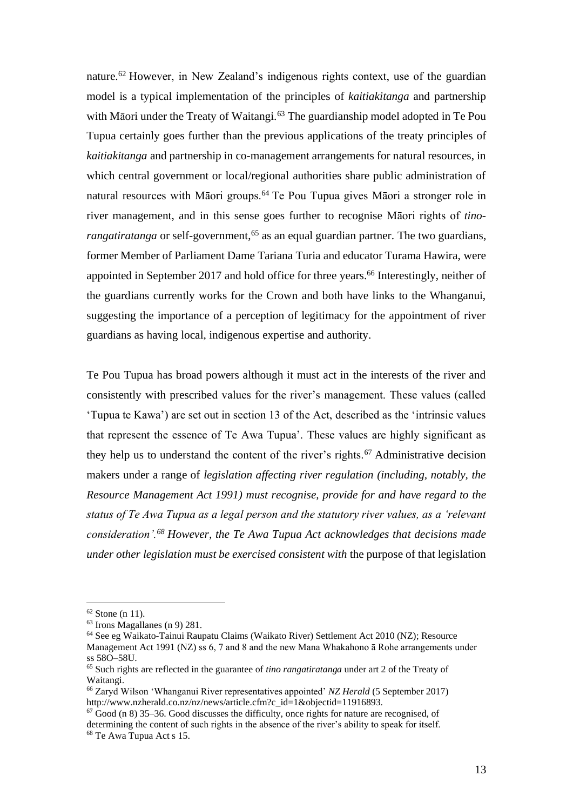nature.<sup>62</sup> However, in New Zealand's indigenous rights context, use of the guardian model is a typical implementation of the principles of *kaitiakitanga* and partnership with Māori under the Treaty of Waitangi.<sup>63</sup> The guardianship model adopted in Te Pou Tupua certainly goes further than the previous applications of the treaty principles of *kaitiakitanga* and partnership in co-management arrangements for natural resources, in which central government or local/regional authorities share public administration of natural resources with Māori groups.<sup>64</sup> Te Pou Tupua gives Māori a stronger role in river management, and in this sense goes further to recognise Māori rights of *tinorangatiratanga* or self-government,<sup>65</sup> as an equal guardian partner. The two guardians, former Member of Parliament Dame Tariana Turia and educator Turama Hawira, were appointed in September 2017 and hold office for three years. <sup>66</sup> Interestingly, neither of the guardians currently works for the Crown and both have links to the Whanganui, suggesting the importance of a perception of legitimacy for the appointment of river guardians as having local, indigenous expertise and authority.

Te Pou Tupua has broad powers although it must act in the interests of the river and consistently with prescribed values for the river's management. These values (called 'Tupua te Kawa') are set out in section 13 of the Act, described as the 'intrinsic values that represent the essence of Te Awa Tupua'. These values are highly significant as they help us to understand the content of the river's rights.<sup>67</sup> Administrative decision makers under a range of *legislation affecting river regulation (including, notably, the Resource Management Act 1991) must recognise, provide for and have regard to the status of Te Awa Tupua as a legal person and the statutory river values, as a 'relevant consideration'.<sup>68</sup> However, the Te Awa Tupua Act acknowledges that decisions made under other legislation must be exercised consistent with* the purpose of that legislation

 $62$  Stone (n 11).

<sup>63</sup> Irons Magallanes (n 9) 281.

<sup>64</sup> See eg Waikato-Tainui Raupatu Claims (Waikato River) Settlement Act 2010 (NZ); Resource Management Act 1991 (NZ) ss 6, 7 and 8 and the new Mana Whakahono ā Rohe arrangements under ss 58O–58U.

<sup>65</sup> Such rights are reflected in the guarantee of *tino rangatiratanga* under art 2 of the Treaty of Waitangi.

<sup>66</sup> Zaryd Wilson 'Whanganui River representatives appointed' *NZ Herald* (5 September 2017) http://www.nzherald.co.nz/nz/news/article.cfm?c\_id=1&objectid=11916893.

 $67$  Good (n 8) 35–36. Good discusses the difficulty, once rights for nature are recognised, of determining the content of such rights in the absence of the river's ability to speak for itself. <sup>68</sup> Te Awa Tupua Act s 15.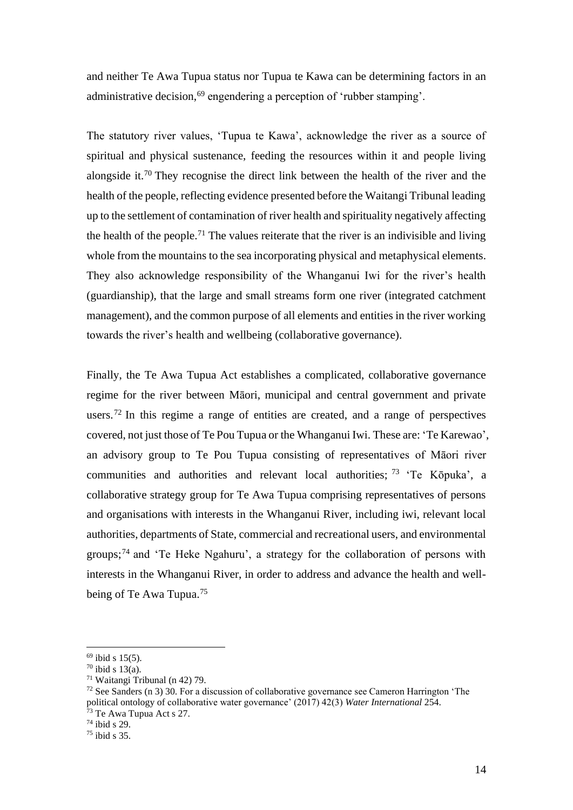and neither Te Awa Tupua status nor Tupua te Kawa can be determining factors in an administrative decision,<sup>69</sup> engendering a perception of 'rubber stamping'.

The statutory river values, 'Tupua te Kawa', acknowledge the river as a source of spiritual and physical sustenance, feeding the resources within it and people living alongside it.<sup>70</sup> They recognise the direct link between the health of the river and the health of the people, reflecting evidence presented before the Waitangi Tribunal leading up to the settlement of contamination of river health and spirituality negatively affecting the health of the people.<sup>71</sup> The values reiterate that the river is an indivisible and living whole from the mountains to the sea incorporating physical and metaphysical elements. They also acknowledge responsibility of the Whanganui Iwi for the river's health (guardianship), that the large and small streams form one river (integrated catchment management), and the common purpose of all elements and entities in the river working towards the river's health and wellbeing (collaborative governance).

Finally, the Te Awa Tupua Act establishes a complicated, collaborative governance regime for the river between Māori, municipal and central government and private users.<sup>72</sup> In this regime a range of entities are created, and a range of perspectives covered, not just those of Te Pou Tupua or the Whanganui Iwi. These are: 'Te Karewao', an advisory group to Te Pou Tupua consisting of representatives of Māori river communities and authorities and relevant local authorities; <sup>73</sup> 'Te Kōpuka', a collaborative strategy group for Te Awa Tupua comprising representatives of persons and organisations with interests in the Whanganui River, including iwi, relevant local authorities, departments of State, commercial and recreational users, and environmental groups; <sup>74</sup> and 'Te Heke Ngahuru', a strategy for the collaboration of persons with interests in the Whanganui River, in order to address and advance the health and wellbeing of Te Awa Tupua.<sup>75</sup>

 $69$  ibid s 15(5).

 $70$  ibid s 13(a).

<sup>71</sup> Waitangi Tribunal (n 42) 79.

 $72$  See Sanders (n 3) 30. For a discussion of collaborative governance see Cameron Harrington 'The political ontology of collaborative water governance' (2017) 42(3) *Water International* 254.  $73$  Te Awa Tupua Act s 27.

 $74$  ibid s 29.

 $75$  ibid s  $35$ .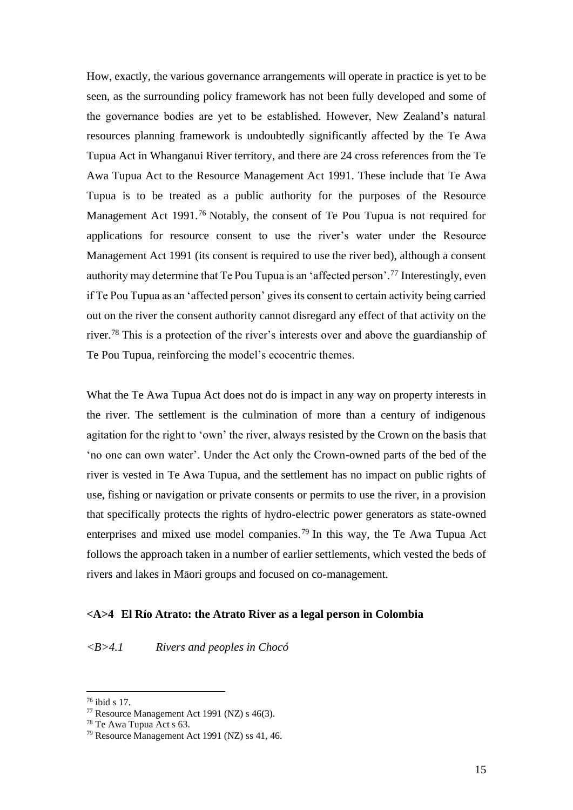How, exactly, the various governance arrangements will operate in practice is yet to be seen, as the surrounding policy framework has not been fully developed and some of the governance bodies are yet to be established. However, New Zealand's natural resources planning framework is undoubtedly significantly affected by the Te Awa Tupua Act in Whanganui River territory, and there are 24 cross references from the Te Awa Tupua Act to the Resource Management Act 1991. These include that Te Awa Tupua is to be treated as a public authority for the purposes of the Resource Management Act 1991.<sup>76</sup> Notably, the consent of Te Pou Tupua is not required for applications for resource consent to use the river's water under the Resource Management Act 1991 (its consent is required to use the river bed), although a consent authority may determine that Te Pou Tupua is an 'affected person'.<sup>77</sup> Interestingly, even if Te Pou Tupua as an 'affected person' gives its consent to certain activity being carried out on the river the consent authority cannot disregard any effect of that activity on the river.<sup>78</sup> This is a protection of the river's interests over and above the guardianship of Te Pou Tupua, reinforcing the model's ecocentric themes.

What the Te Awa Tupua Act does not do is impact in any way on property interests in the river. The settlement is the culmination of more than a century of indigenous agitation for the right to 'own' the river, always resisted by the Crown on the basis that 'no one can own water'. Under the Act only the Crown-owned parts of the bed of the river is vested in Te Awa Tupua, and the settlement has no impact on public rights of use, fishing or navigation or private consents or permits to use the river, in a provision that specifically protects the rights of hydro-electric power generators as state-owned enterprises and mixed use model companies.<sup>79</sup> In this way, the Te Awa Tupua Act follows the approach taken in a number of earlier settlements, which vested the beds of rivers and lakes in Māori groups and focused on co-management.

#### **<A>4 El Río Atrato: the Atrato River as a legal person in Colombia**

#### *<B>4.1 Rivers and peoples in Chocó*

 $76$  ibid s 17.

<sup>77</sup> Resource Management Act 1991 (NZ) s 46(3).

<sup>78</sup> Te Awa Tupua Act s 63.

<sup>79</sup> Resource Management Act 1991 (NZ) ss 41, 46.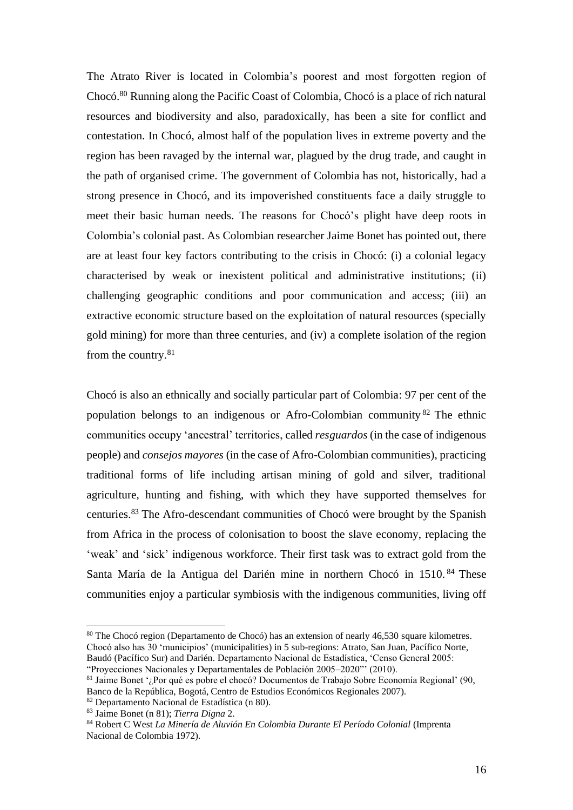The Atrato River is located in Colombia's poorest and most forgotten region of Chocó. <sup>80</sup> Running along the Pacific Coast of Colombia, Chocó is a place of rich natural resources and biodiversity and also, paradoxically, has been a site for conflict and contestation. In Chocó, almost half of the population lives in extreme poverty and the region has been ravaged by the internal war, plagued by the drug trade, and caught in the path of organised crime. The government of Colombia has not, historically, had a strong presence in Chocó, and its impoverished constituents face a daily struggle to meet their basic human needs. The reasons for Chocó's plight have deep roots in Colombia's colonial past. As Colombian researcher Jaime Bonet has pointed out, there are at least four key factors contributing to the crisis in Chocó: (i) a colonial legacy characterised by weak or inexistent political and administrative institutions; (ii) challenging geographic conditions and poor communication and access; (iii) an extractive economic structure based on the exploitation of natural resources (specially gold mining) for more than three centuries, and (iv) a complete isolation of the region from the country.<sup>81</sup>

Chocó is also an ethnically and socially particular part of Colombia: 97 per cent of the population belongs to an indigenous or Afro-Colombian community <sup>82</sup> The ethnic communities occupy 'ancestral' territories, called *resguardos* (in the case of indigenous people) and *consejos mayores* (in the case of Afro-Colombian communities), practicing traditional forms of life including artisan mining of gold and silver, traditional agriculture, hunting and fishing, with which they have supported themselves for centuries.<sup>83</sup> The Afro-descendant communities of Chocó were brought by the Spanish from Africa in the process of colonisation to boost the slave economy, replacing the 'weak' and 'sick' indigenous workforce. Their first task was to extract gold from the Santa María de la Antigua del Darién mine in northern Chocó in 1510.<sup>84</sup> These communities enjoy a particular symbiosis with the indigenous communities, living off

<sup>80</sup> The Chocó region (Departamento de Chocó) has an extension of nearly 46,530 square kilometres. Chocó also has 30 'municipios' (municipalities) in 5 sub-regions: Atrato, San Juan, Pacífico Norte, Baudó (Pacífico Sur) and Darién. Departamento Nacional de Estadística, 'Censo General 2005: "Proyecciones Nacionales y Departamentales de Población 2005–2020"' (2010).

<sup>81</sup> Jaime Bonet '¿Por qué es pobre el chocó? Documentos de Trabajo Sobre Economía Regional' (90, Banco de la República, Bogotá, Centro de Estudios Económicos Regionales 2007).

<sup>82</sup> Departamento Nacional de Estadística (n 80).

<sup>83</sup> Jaime Bonet (n 81); *Tierra Digna* 2.

<sup>84</sup> Robert C West *La Minería de Aluvión En Colombia Durante El Período Colonial* (Imprenta Nacional de Colombia 1972).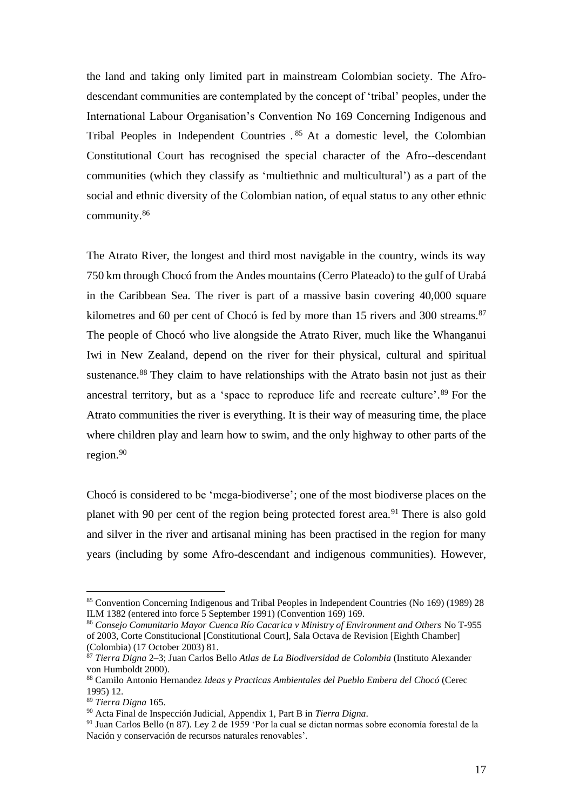the land and taking only limited part in mainstream Colombian society. The Afrodescendant communities are contemplated by the concept of 'tribal' peoples, under the International Labour Organisation's Convention No 169 Concerning Indigenous and Tribal Peoples in Independent Countries . <sup>85</sup> At a domestic level, the Colombian Constitutional Court has recognised the special character of the Afro--descendant communities (which they classify as 'multiethnic and multicultural') as a part of the social and ethnic diversity of the Colombian nation, of equal status to any other ethnic community. 86

The Atrato River, the longest and third most navigable in the country, winds its way 750 km through Chocó from the Andes mountains (Cerro Plateado) to the gulf of Urabá in the Caribbean Sea. The river is part of a massive basin covering 40,000 square kilometres and 60 per cent of Chocó is fed by more than 15 rivers and 300 streams.<sup>87</sup> The people of Chocó who live alongside the Atrato River, much like the Whanganui Iwi in New Zealand, depend on the river for their physical, cultural and spiritual sustenance.<sup>88</sup> They claim to have relationships with the Atrato basin not just as their ancestral territory, but as a 'space to reproduce life and recreate culture'. <sup>89</sup> For the Atrato communities the river is everything. It is their way of measuring time, the place where children play and learn how to swim, and the only highway to other parts of the region.<sup>90</sup>

Chocó is considered to be 'mega-biodiverse'; one of the most biodiverse places on the planet with 90 per cent of the region being protected forest area.<sup>91</sup> There is also gold and silver in the river and artisanal mining has been practised in the region for many years (including by some Afro-descendant and indigenous communities). However,

<sup>85</sup> Convention Concerning Indigenous and Tribal Peoples in Independent Countries (No 169) (1989) 28 ILM 1382 (entered into force 5 September 1991) (Convention 169) 169.

<sup>86</sup> *Consejo Comunitario Mayor Cuenca Río Cacarica v Ministry of Environment and Others* No T-955 of 2003, Corte Constitucional [Constitutional Court], Sala Octava de Revision [Eighth Chamber] (Colombia) (17 October 2003) 81.

<sup>87</sup> *Tierra Digna* 2–3; Juan Carlos Bello *Atlas de La Biodiversidad de Colombia* (Instituto Alexander von Humboldt 2000).

<sup>88</sup> Camilo Antonio Hernandez *Ideas y Practicas Ambientales del Pueblo Embera del Chocó* (Cerec 1995) 12.

<sup>89</sup> *Tierra Digna* 165.

<sup>90</sup> Acta Final de Inspección Judicial, Appendix 1, Part B in *Tierra Digna*.

<sup>91</sup> Juan Carlos Bello (n 87). Ley 2 de 1959 'Por la cual se dictan normas sobre economía forestal de la Nación y conservación de recursos naturales renovables'.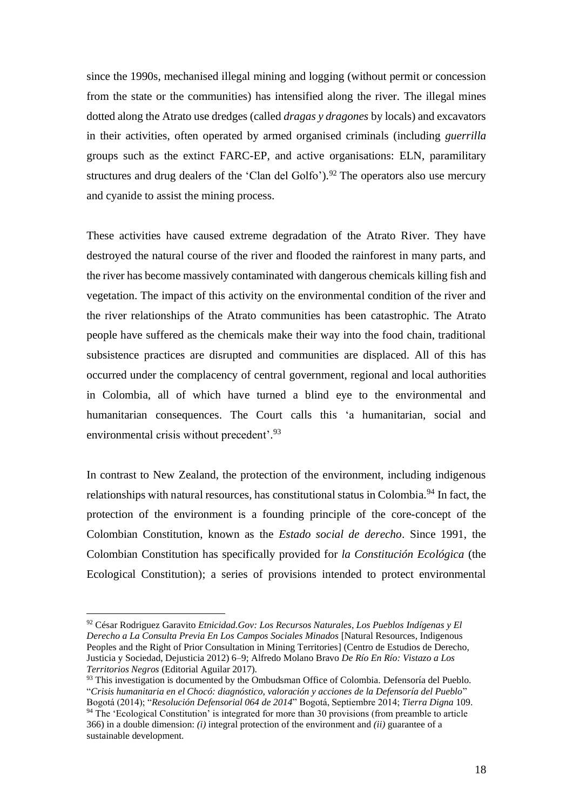since the 1990s, mechanised illegal mining and logging (without permit or concession from the state or the communities) has intensified along the river. The illegal mines dotted along the Atrato use dredges (called *dragas y dragones* by locals) and excavators in their activities, often operated by armed organised criminals (including *guerrilla* groups such as the extinct FARC-EP, and active organisations: ELN, paramilitary structures and drug dealers of the 'Clan del Golfo').<sup>92</sup> The operators also use mercury and cyanide to assist the mining process.

These activities have caused extreme degradation of the Atrato River. They have destroyed the natural course of the river and flooded the rainforest in many parts, and the river has become massively contaminated with dangerous chemicals killing fish and vegetation. The impact of this activity on the environmental condition of the river and the river relationships of the Atrato communities has been catastrophic. The Atrato people have suffered as the chemicals make their way into the food chain, traditional subsistence practices are disrupted and communities are displaced. All of this has occurred under the complacency of central government, regional and local authorities in Colombia, all of which have turned a blind eye to the environmental and humanitarian consequences. The Court calls this 'a humanitarian, social and environmental crisis without precedent'.<sup>93</sup>

In contrast to New Zealand, the protection of the environment, including indigenous relationships with natural resources, has constitutional status in Colombia.<sup>94</sup> In fact, the protection of the environment is a founding principle of the core-concept of the Colombian Constitution, known as the *Estado social de derecho*. Since 1991, the Colombian Constitution has specifically provided for *la Constitución Ecológica* (the Ecological Constitution); a series of provisions intended to protect environmental

<sup>92</sup> César Rodriguez Garavito *Etnicidad.Gov: Los Recursos Naturales, Los Pueblos Indígenas y El Derecho a La Consulta Previa En Los Campos Sociales Minados* [Natural Resources, Indigenous Peoples and the Right of Prior Consultation in Mining Territories] (Centro de Estudios de Derecho, Justicia y Sociedad, Dejusticia 2012) 6–9; Alfredo Molano Bravo *De Río En Río: Vistazo a Los Territorios Negros* (Editorial Aguilar 2017).

<sup>93</sup> This investigation is documented by the Ombudsman Office of Colombia. Defensoría del Pueblo. "*Crisis humanitaria en el Chocó: diagnóstico, valoración y acciones de la Defensoría del Pueblo*" Bogotá (2014); "*Resolución Defensorial 064 de 2014*" Bogotá, Septiembre 2014; *Tierra Digna* 109.

<sup>&</sup>lt;sup>94</sup> The 'Ecological Constitution' is integrated for more than 30 provisions (from preamble to article 366) in a double dimension: *(i)* integral protection of the environment and *(ii)* guarantee of a sustainable development.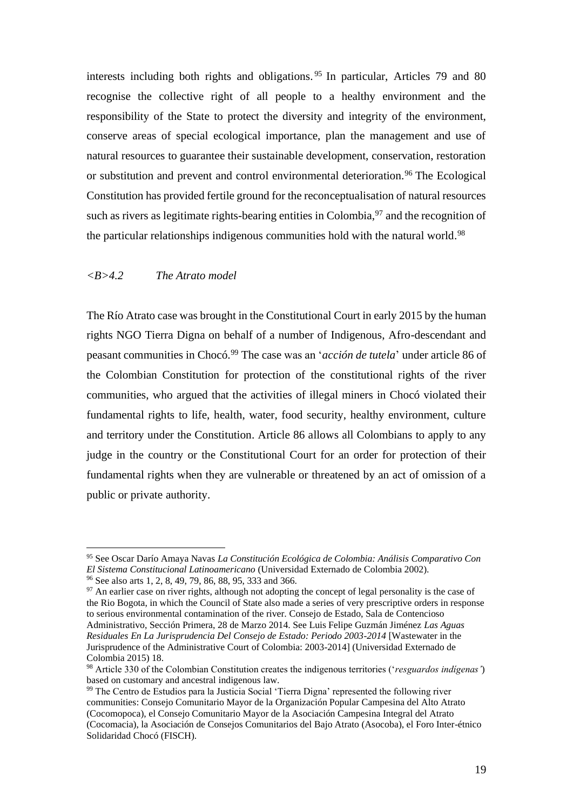interests including both rights and obligations.<sup>95</sup> In particular, Articles 79 and 80 recognise the collective right of all people to a healthy environment and the responsibility of the State to protect the diversity and integrity of the environment, conserve areas of special ecological importance, plan the management and use of natural resources to guarantee their sustainable development, conservation, restoration or substitution and prevent and control environmental deterioration.<sup>96</sup> The Ecological Constitution has provided fertile ground for the reconceptualisation of natural resources such as rivers as legitimate rights-bearing entities in Colombia,<sup>97</sup> and the recognition of the particular relationships indigenous communities hold with the natural world.<sup>98</sup>

## *<B>4.2 The Atrato model*

The Río Atrato case was brought in the Constitutional Court in early 2015 by the human rights NGO Tierra Digna on behalf of a number of Indigenous, Afro-descendant and peasant communities in Chocó. <sup>99</sup> The case was an '*acción de tutela*' under article 86 of the Colombian Constitution for protection of the constitutional rights of the river communities, who argued that the activities of illegal miners in Chocó violated their fundamental rights to life, health, water, food security, healthy environment, culture and territory under the Constitution. Article 86 allows all Colombians to apply to any judge in the country or the Constitutional Court for an order for protection of their fundamental rights when they are vulnerable or threatened by an act of omission of a public or private authority.

<sup>95</sup> See Oscar Darío Amaya Navas *La Constitución Ecológica de Colombia: Análisis Comparativo Con El Sistema Constitucional Latinoamericano* (Universidad Externado de Colombia 2002).

<sup>96</sup> See also arts 1, 2, 8, 49, 79, 86, 88, 95, 333 and 366.

 $97$  An earlier case on river rights, although not adopting the concept of legal personality is the case of the Rio Bogota, in which the Council of State also made a series of very prescriptive orders in response to serious environmental contamination of the river. Consejo de Estado, Sala de Contencioso Administrativo, Sección Primera, 28 de Marzo 2014. See Luis Felipe Guzmán Jiménez *Las Aguas Residuales En La Jurisprudencia Del Consejo de Estado: Periodo 2003-2014* [Wastewater in the Jurisprudence of the Administrative Court of Colombia: 2003-2014] (Universidad Externado de Colombia 2015) 18.

<sup>98</sup> Article 330 of the Colombian Constitution creates the indigenous territories ('*resguardos indígenas'*) based on customary and ancestral indigenous law.

<sup>&</sup>lt;sup>99</sup> The Centro de Estudios para la Justicia Social 'Tierra Digna' represented the following river communities: Consejo Comunitario Mayor de la Organización Popular Campesina del Alto Atrato (Cocomopoca), el Consejo Comunitario Mayor de la Asociación Campesina Integral del Atrato (Cocomacia), la Asociación de Consejos Comunitarios del Bajo Atrato (Asocoba), el Foro Inter-étnico Solidaridad Chocó (FISCH).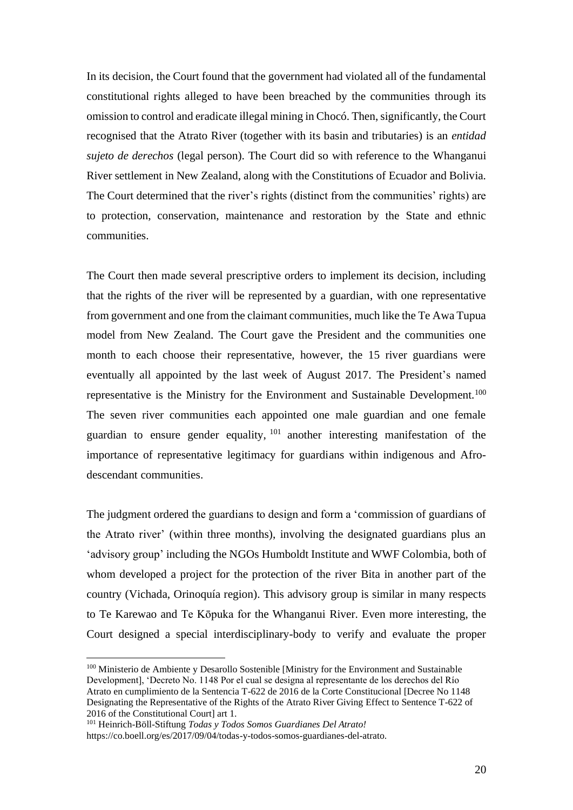In its decision, the Court found that the government had violated all of the fundamental constitutional rights alleged to have been breached by the communities through its omission to control and eradicate illegal mining in Chocó. Then, significantly, the Court recognised that the Atrato River (together with its basin and tributaries) is an *entidad sujeto de derechos* (legal person). The Court did so with reference to the Whanganui River settlement in New Zealand, along with the Constitutions of Ecuador and Bolivia. The Court determined that the river's rights (distinct from the communities' rights) are to protection, conservation, maintenance and restoration by the State and ethnic communities.

The Court then made several prescriptive orders to implement its decision, including that the rights of the river will be represented by a guardian, with one representative from government and one from the claimant communities, much like the Te Awa Tupua model from New Zealand. The Court gave the President and the communities one month to each choose their representative, however, the 15 river guardians were eventually all appointed by the last week of August 2017. The President's named representative is the Ministry for the Environment and Sustainable Development.<sup>100</sup> The seven river communities each appointed one male guardian and one female guardian to ensure gender equality, <sup>101</sup> another interesting manifestation of the importance of representative legitimacy for guardians within indigenous and Afrodescendant communities.

The judgment ordered the guardians to design and form a 'commission of guardians of the Atrato river' (within three months), involving the designated guardians plus an 'advisory group' including the NGOs Humboldt Institute and WWF Colombia, both of whom developed a project for the protection of the river Bita in another part of the country (Vichada, Orinoquía region). This advisory group is similar in many respects to Te Karewao and Te Kōpuka for the Whanganui River. Even more interesting, the Court designed a special interdisciplinary-body to verify and evaluate the proper

<sup>&</sup>lt;sup>100</sup> Ministerio de Ambiente y Desarollo Sostenible [Ministry for the Environment and Sustainable Development], 'Decreto No. 1148 Por el cual se designa al representante de los derechos del Río Atrato en cumplimiento de la Sentencia T-622 de 2016 de la Corte Constitucional [Decree No 1148 Designating the Representative of the Rights of the Atrato River Giving Effect to Sentence T-622 of 2016 of the Constitutional Court] art 1.

<sup>101</sup> Heinrich-Böll-Stiftung *Todas y Todos Somos Guardianes Del Atrato!* https://co.boell.org/es/2017/09/04/todas-y-todos-somos-guardianes-del-atrato.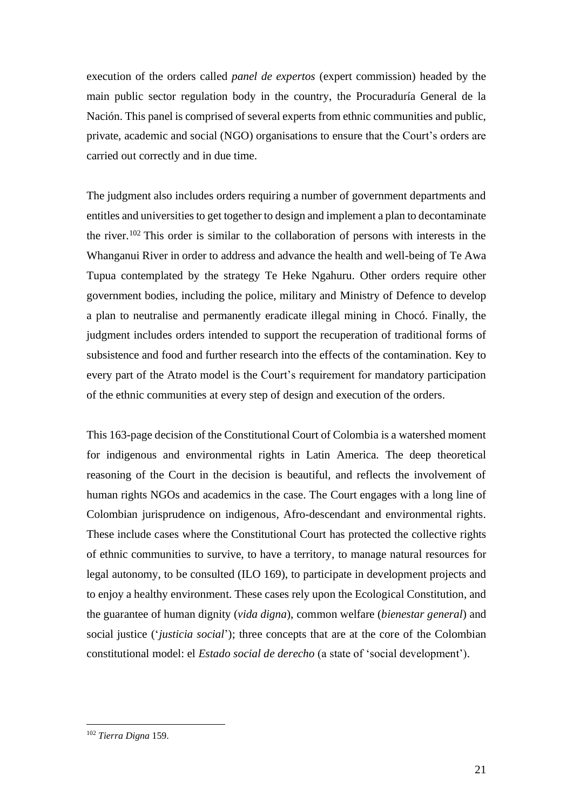execution of the orders called *panel de expertos* (expert commission) headed by the main public sector regulation body in the country, the Procuraduría General de la Nación. This panel is comprised of several experts from ethnic communities and public, private, academic and social (NGO) organisations to ensure that the Court's orders are carried out correctly and in due time.

The judgment also includes orders requiring a number of government departments and entitles and universities to get together to design and implement a plan to decontaminate the river.<sup>102</sup> This order is similar to the collaboration of persons with interests in the Whanganui River in order to address and advance the health and well-being of Te Awa Tupua contemplated by the strategy Te Heke Ngahuru. Other orders require other government bodies, including the police, military and Ministry of Defence to develop a plan to neutralise and permanently eradicate illegal mining in Chocó. Finally, the judgment includes orders intended to support the recuperation of traditional forms of subsistence and food and further research into the effects of the contamination. Key to every part of the Atrato model is the Court's requirement for mandatory participation of the ethnic communities at every step of design and execution of the orders.

This 163-page decision of the Constitutional Court of Colombia is a watershed moment for indigenous and environmental rights in Latin America. The deep theoretical reasoning of the Court in the decision is beautiful, and reflects the involvement of human rights NGOs and academics in the case. The Court engages with a long line of Colombian jurisprudence on indigenous, Afro-descendant and environmental rights. These include cases where the Constitutional Court has protected the collective rights of ethnic communities to survive, to have a territory, to manage natural resources for legal autonomy, to be consulted (ILO 169), to participate in development projects and to enjoy a healthy environment. These cases rely upon the Ecological Constitution, and the guarantee of human dignity (*vida digna*), common welfare (*bienestar general*) and social justice ('*justicia social*'); three concepts that are at the core of the Colombian constitutional model: el *Estado social de derecho* (a state of 'social development').

<sup>102</sup> *Tierra Digna* 159.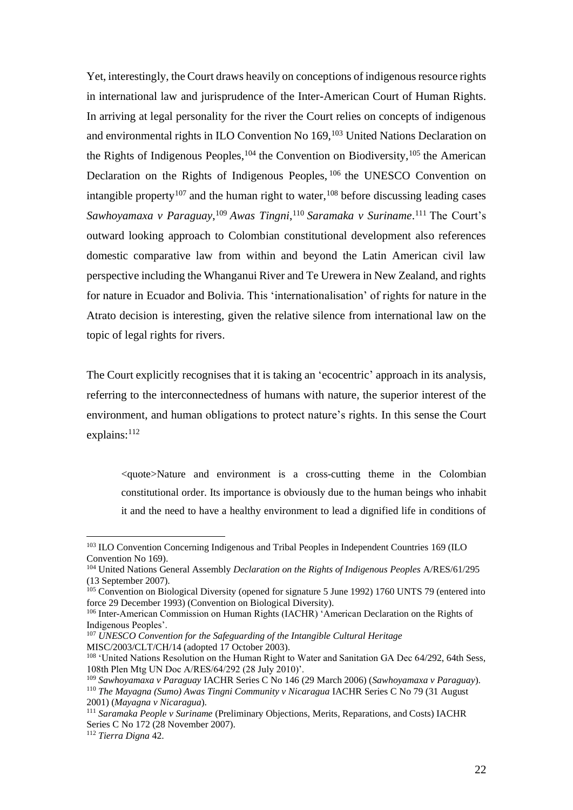Yet, interestingly, the Court draws heavily on conceptions of indigenous resource rights in international law and jurisprudence of the Inter-American Court of Human Rights. In arriving at legal personality for the river the Court relies on concepts of indigenous and environmental rights in ILO Convention No 169,<sup>103</sup> United Nations Declaration on the Rights of Indigenous Peoples,  $104$  the Convention on Biodiversity,  $105$  the American Declaration on the Rights of Indigenous Peoples, <sup>106</sup> the UNESCO Convention on intangible property<sup>107</sup> and the human right to water,  $108$  before discussing leading cases *Sawhoyamaxa v Paraguay*, <sup>109</sup> *Awas Tingni*, <sup>110</sup> *Saramaka v Suriname*. <sup>111</sup> The Court's outward looking approach to Colombian constitutional development also references domestic comparative law from within and beyond the Latin American civil law perspective including the Whanganui River and Te Urewera in New Zealand, and rights for nature in Ecuador and Bolivia. This 'internationalisation' of rights for nature in the Atrato decision is interesting, given the relative silence from international law on the topic of legal rights for rivers.

The Court explicitly recognises that it is taking an 'ecocentric' approach in its analysis, referring to the interconnectedness of humans with nature, the superior interest of the environment, and human obligations to protect nature's rights. In this sense the Court explains:<sup>112</sup>

<quote>Nature and environment is a cross-cutting theme in the Colombian constitutional order. Its importance is obviously due to the human beings who inhabit it and the need to have a healthy environment to lead a dignified life in conditions of

<sup>107</sup> *UNESCO Convention for the Safeguarding of the Intangible Cultural Heritage*  MISC/2003/CLT/CH/14 (adopted 17 October 2003).

<sup>&</sup>lt;sup>103</sup> ILO Convention Concerning Indigenous and Tribal Peoples in Independent Countries 169 (ILO Convention No 169).

<sup>104</sup> United Nations General Assembly *Declaration on the Rights of Indigenous Peoples* A/RES/61/295 (13 September 2007).

<sup>&</sup>lt;sup>105</sup> Convention on Biological Diversity (opened for signature 5 June 1992) 1760 UNTS 79 (entered into force 29 December 1993) (Convention on Biological Diversity).

<sup>106</sup> Inter-American Commission on Human Rights (IACHR) 'American Declaration on the Rights of Indigenous Peoples'.

<sup>&</sup>lt;sup>108</sup> 'United Nations Resolution on the Human Right to Water and Sanitation GA Dec 64/292, 64th Sess, 108th Plen Mtg UN Doc A/RES/64/292 (28 July 2010)'.

<sup>109</sup> *Sawhoyamaxa v Paraguay* IACHR Series C No 146 (29 March 2006) (*Sawhoyamaxa v Paraguay*). <sup>110</sup> *The Mayagna (Sumo) Awas Tingni Community v Nicaragua* IACHR Series C No 79 (31 August

<sup>2001) (</sup>*Mayagna v Nicaragua*).

<sup>111</sup> *Saramaka People v Suriname* (Preliminary Objections, Merits, Reparations, and Costs) IACHR Series C No 172 (28 November 2007).

<sup>112</sup> *Tierra Digna* 42.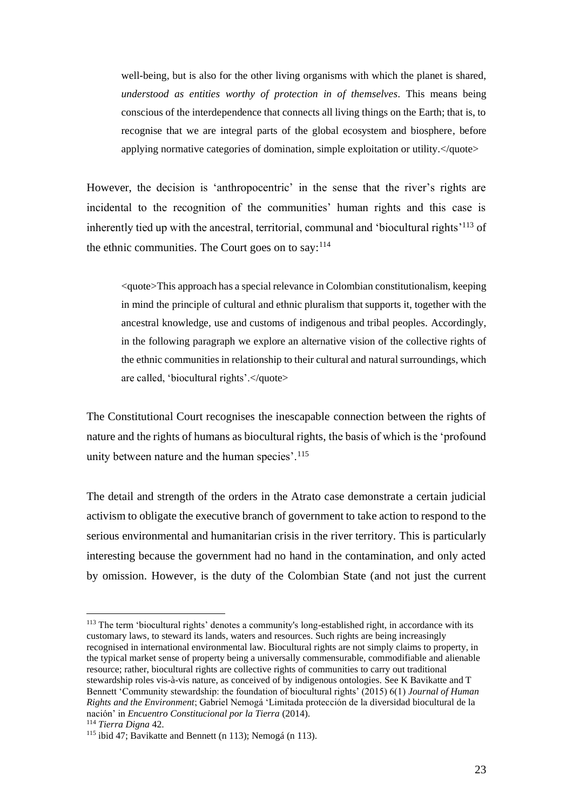well-being, but is also for the other living organisms with which the planet is shared, *understood as entities worthy of protection in of themselves*. This means being conscious of the interdependence that connects all living things on the Earth; that is, to recognise that we are integral parts of the global ecosystem and biosphere, before applying normative categories of domination, simple exploitation or utility. $\langle$ quote>

However, the decision is 'anthropocentric' in the sense that the river's rights are incidental to the recognition of the communities' human rights and this case is inherently tied up with the ancestral, territorial, communal and 'biocultural rights'<sup>113</sup> of the ethnic communities. The Court goes on to say: $114$ 

<quote>This approach has a special relevance in Colombian constitutionalism, keeping in mind the principle of cultural and ethnic pluralism that supports it, together with the ancestral knowledge, use and customs of indigenous and tribal peoples. Accordingly, in the following paragraph we explore an alternative vision of the collective rights of the ethnic communities in relationship to their cultural and natural surroundings, which are called, 'biocultural rights'.</quote>

The Constitutional Court recognises the inescapable connection between the rights of nature and the rights of humans as biocultural rights, the basis of which is the 'profound unity between nature and the human species'.<sup>115</sup>

The detail and strength of the orders in the Atrato case demonstrate a certain judicial activism to obligate the executive branch of government to take action to respond to the serious environmental and humanitarian crisis in the river territory. This is particularly interesting because the government had no hand in the contamination, and only acted by omission. However, is the duty of the Colombian State (and not just the current

<sup>113</sup> The term 'biocultural rights' denotes a community's long-established right, in accordance with its customary laws, to steward its lands, waters and resources. Such rights are being increasingly recognised in international environmental law. Biocultural rights are not simply claims to property, in the typical market sense of property being a universally commensurable, commodifiable and alienable resource; rather, biocultural rights are collective rights of communities to carry out traditional stewardship roles vis-à-vis nature, as conceived of by indigenous ontologies. See K Bavikatte and T Bennett 'Community stewardship: the foundation of biocultural rights' (2015) 6(1) *Journal of Human Rights and the Environment*; Gabriel Nemogá 'Limitada protección de la diversidad biocultural de la nación' in *Encuentro Constitucional por la Tierra* (2014).

<sup>114</sup> *Tierra Digna* 42.

<sup>115</sup> ibid 47; Bavikatte and Bennett (n 113); Nemogá (n 113).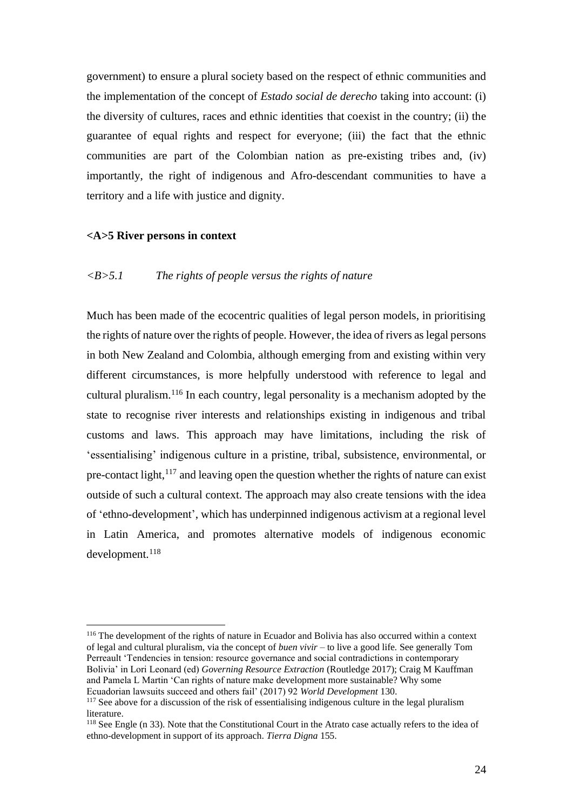government) to ensure a plural society based on the respect of ethnic communities and the implementation of the concept of *Estado social de derecho* taking into account: (i) the diversity of cultures, races and ethnic identities that coexist in the country; (ii) the guarantee of equal rights and respect for everyone; (iii) the fact that the ethnic communities are part of the Colombian nation as pre-existing tribes and, (iv) importantly, the right of indigenous and Afro-descendant communities to have a territory and a life with justice and dignity.

## **<A>5 River persons in context**

## *<B>5.1 The rights of people versus the rights of nature*

Much has been made of the ecocentric qualities of legal person models, in prioritising the rights of nature over the rights of people. However, the idea of rivers as legal persons in both New Zealand and Colombia, although emerging from and existing within very different circumstances, is more helpfully understood with reference to legal and cultural pluralism. <sup>116</sup> In each country, legal personality is a mechanism adopted by the state to recognise river interests and relationships existing in indigenous and tribal customs and laws. This approach may have limitations, including the risk of 'essentialising' indigenous culture in a pristine, tribal, subsistence, environmental, or pre-contact light, $117$  and leaving open the question whether the rights of nature can exist outside of such a cultural context. The approach may also create tensions with the idea of 'ethno-development', which has underpinned indigenous activism at a regional level in Latin America, and promotes alternative models of indigenous economic development.<sup>118</sup>

<sup>116</sup> The development of the rights of nature in Ecuador and Bolivia has also occurred within a context of legal and cultural pluralism, via the concept of *buen vivir* – to live a good life*.* See generally Tom Perreault 'Tendencies in tension: resource governance and social contradictions in contemporary Bolivia' in Lori Leonard (ed) *Governing Resource Extraction* (Routledge 2017); Craig M Kauffman and Pamela L Martin 'Can rights of nature make development more sustainable? Why some Ecuadorian lawsuits succeed and others fail' (2017) 92 *World Development* 130.

<sup>&</sup>lt;sup>117</sup> See above for a discussion of the risk of essentialising indigenous culture in the legal pluralism literature.

<sup>118</sup> See Engle (n 33). Note that the Constitutional Court in the Atrato case actually refers to the idea of ethno-development in support of its approach. *Tierra Digna* 155.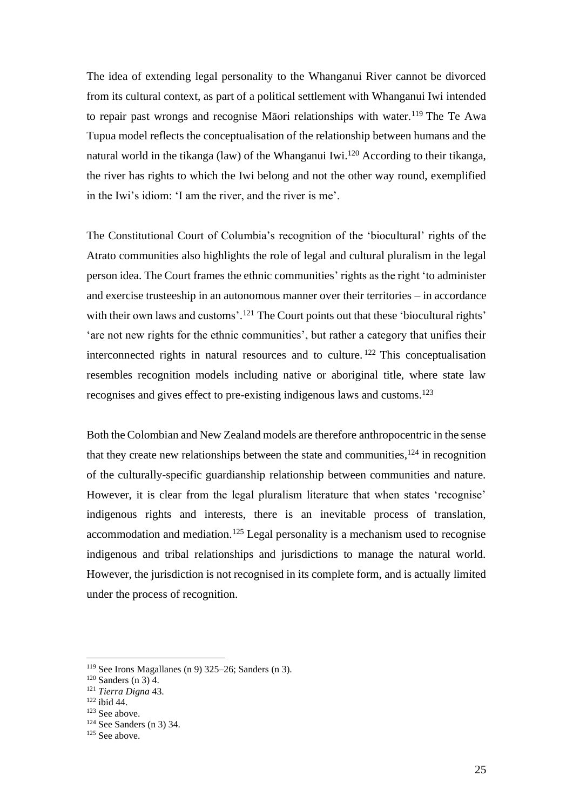The idea of extending legal personality to the Whanganui River cannot be divorced from its cultural context, as part of a political settlement with Whanganui Iwi intended to repair past wrongs and recognise Māori relationships with water.<sup>119</sup> The Te Awa Tupua model reflects the conceptualisation of the relationship between humans and the natural world in the tikanga (law) of the Whanganui Iwi.<sup>120</sup> According to their tikanga, the river has rights to which the Iwi belong and not the other way round, exemplified in the Iwi's idiom: 'I am the river, and the river is me'.

The Constitutional Court of Columbia's recognition of the 'biocultural' rights of the Atrato communities also highlights the role of legal and cultural pluralism in the legal person idea. The Court frames the ethnic communities' rights as the right 'to administer and exercise trusteeship in an autonomous manner over their territories – in accordance with their own laws and customs'.<sup>121</sup> The Court points out that these 'biocultural rights' 'are not new rights for the ethnic communities', but rather a category that unifies their interconnected rights in natural resources and to culture. <sup>122</sup> This conceptualisation resembles recognition models including native or aboriginal title, where state law recognises and gives effect to pre-existing indigenous laws and customs.<sup>123</sup>

Both the Colombian and New Zealand models are therefore anthropocentric in the sense that they create new relationships between the state and communities,  $124$  in recognition of the culturally-specific guardianship relationship between communities and nature. However, it is clear from the legal pluralism literature that when states 'recognise' indigenous rights and interests, there is an inevitable process of translation, accommodation and mediation.<sup>125</sup> Legal personality is a mechanism used to recognise indigenous and tribal relationships and jurisdictions to manage the natural world. However, the jurisdiction is not recognised in its complete form, and is actually limited under the process of recognition.

<sup>&</sup>lt;sup>119</sup> See Irons Magallanes (n 9) 325–26; Sanders (n 3).

 $120$  Sanders (n 3) 4.

<sup>121</sup> *Tierra Digna* 43.

 $122$  ibid 44.

<sup>123</sup> See above.

<sup>124</sup> See Sanders (n 3) 34.

 $125$  See above.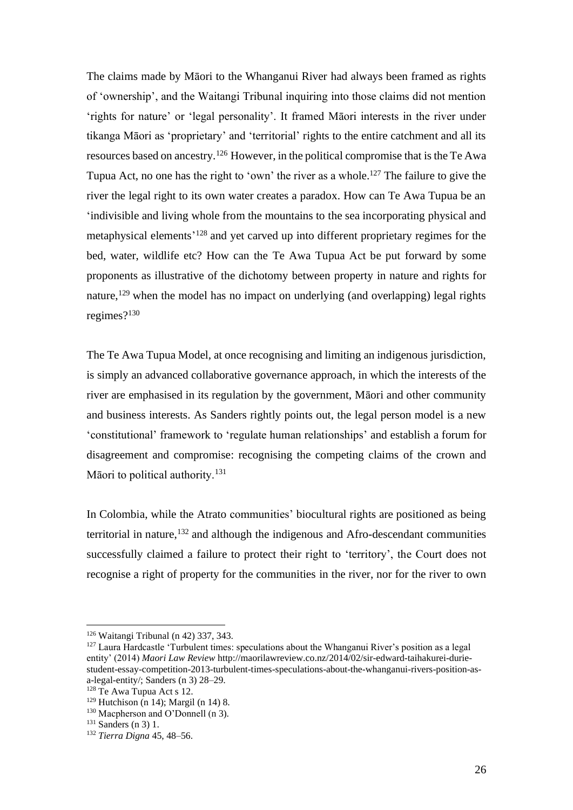The claims made by Māori to the Whanganui River had always been framed as rights of 'ownership', and the Waitangi Tribunal inquiring into those claims did not mention 'rights for nature' or 'legal personality'. It framed Māori interests in the river under tikanga Māori as 'proprietary' and 'territorial' rights to the entire catchment and all its resources based on ancestry.<sup>126</sup> However, in the political compromise that is the Te Awa Tupua Act, no one has the right to 'own' the river as a whole.<sup>127</sup> The failure to give the river the legal right to its own water creates a paradox. How can Te Awa Tupua be an 'indivisible and living whole from the mountains to the sea incorporating physical and metaphysical elements<sup>'128</sup> and yet carved up into different proprietary regimes for the bed, water, wildlife etc? How can the Te Awa Tupua Act be put forward by some proponents as illustrative of the dichotomy between property in nature and rights for nature,<sup>129</sup> when the model has no impact on underlying (and overlapping) legal rights regimes?<sup>130</sup>

The Te Awa Tupua Model, at once recognising and limiting an indigenous jurisdiction, is simply an advanced collaborative governance approach, in which the interests of the river are emphasised in its regulation by the government, Māori and other community and business interests. As Sanders rightly points out, the legal person model is a new 'constitutional' framework to 'regulate human relationships' and establish a forum for disagreement and compromise: recognising the competing claims of the crown and Māori to political authority.<sup>131</sup>

In Colombia, while the Atrato communities' biocultural rights are positioned as being territorial in nature,<sup>132</sup> and although the indigenous and Afro-descendant communities successfully claimed a failure to protect their right to 'territory', the Court does not recognise a right of property for the communities in the river, nor for the river to own

<sup>126</sup> Waitangi Tribunal (n 42) 337, 343.

<sup>&</sup>lt;sup>127</sup> Laura Hardcastle 'Turbulent times: speculations about the Whanganui River's position as a legal entity' (2014) *Maori Law Review* http://maorilawreview.co.nz/2014/02/sir-edward-taihakurei-duriestudent-essay-competition-2013-turbulent-times-speculations-about-the-whanganui-rivers-position-asa-legal-entity/; Sanders (n 3) 28–29.

<sup>128</sup> Te Awa Tupua Act s 12.

 $129$  Hutchison (n 14); Margil (n 14) 8.

<sup>&</sup>lt;sup>130</sup> Macpherson and O'Donnell (n 3).

 $131$  Sanders (n 3) 1.

<sup>132</sup> *Tierra Digna* 45, 48–56.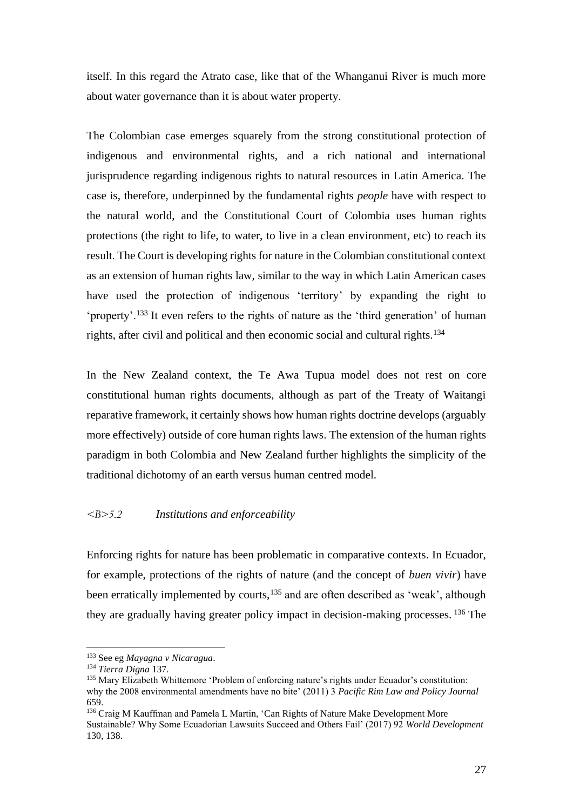itself. In this regard the Atrato case, like that of the Whanganui River is much more about water governance than it is about water property.

The Colombian case emerges squarely from the strong constitutional protection of indigenous and environmental rights, and a rich national and international jurisprudence regarding indigenous rights to natural resources in Latin America. The case is, therefore, underpinned by the fundamental rights *people* have with respect to the natural world, and the Constitutional Court of Colombia uses human rights protections (the right to life, to water, to live in a clean environment, etc) to reach its result. The Court is developing rights for nature in the Colombian constitutional context as an extension of human rights law, similar to the way in which Latin American cases have used the protection of indigenous 'territory' by expanding the right to 'property'.<sup>133</sup> It even refers to the rights of nature as the 'third generation' of human rights, after civil and political and then economic social and cultural rights.<sup>134</sup>

In the New Zealand context, the Te Awa Tupua model does not rest on core constitutional human rights documents, although as part of the Treaty of Waitangi reparative framework, it certainly shows how human rights doctrine develops (arguably more effectively) outside of core human rights laws. The extension of the human rights paradigm in both Colombia and New Zealand further highlights the simplicity of the traditional dichotomy of an earth versus human centred model.

## *<B>5.2 Institutions and enforceability*

Enforcing rights for nature has been problematic in comparative contexts. In Ecuador, for example, protections of the rights of nature (and the concept of *buen vivir*) have been erratically implemented by courts,<sup>135</sup> and are often described as 'weak', although they are gradually having greater policy impact in decision-making processes. <sup>136</sup> The

<sup>133</sup> See eg *Mayagna v Nicaragua*.

<sup>134</sup> *Tierra Digna* 137.

<sup>135</sup> Mary Elizabeth Whittemore 'Problem of enforcing nature's rights under Ecuador's constitution: why the 2008 environmental amendments have no bite' (2011) 3 *Pacific Rim Law and Policy Journal* 659.

<sup>136</sup> Craig M Kauffman and Pamela L Martin, 'Can Rights of Nature Make Development More Sustainable? Why Some Ecuadorian Lawsuits Succeed and Others Fail' (2017) 92 *World Development* 130, 138.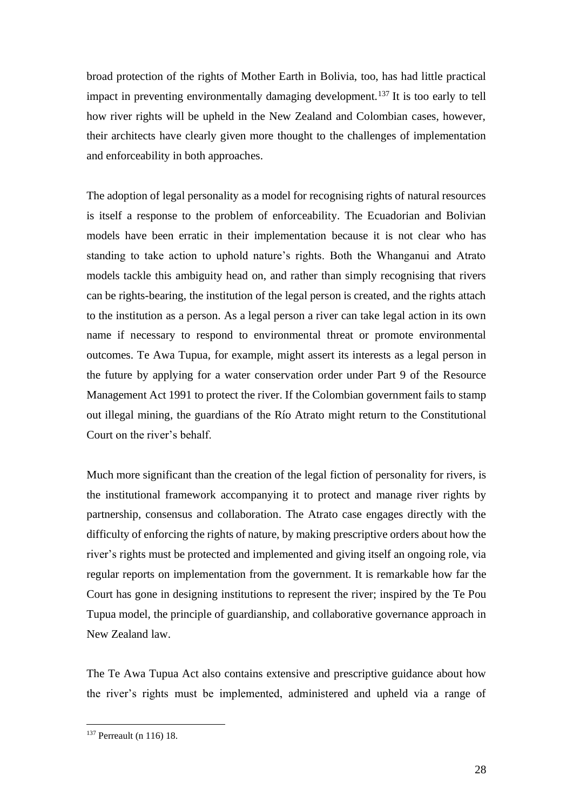broad protection of the rights of Mother Earth in Bolivia, too, has had little practical impact in preventing environmentally damaging development.<sup>137</sup> It is too early to tell how river rights will be upheld in the New Zealand and Colombian cases, however, their architects have clearly given more thought to the challenges of implementation and enforceability in both approaches.

The adoption of legal personality as a model for recognising rights of natural resources is itself a response to the problem of enforceability. The Ecuadorian and Bolivian models have been erratic in their implementation because it is not clear who has standing to take action to uphold nature's rights. Both the Whanganui and Atrato models tackle this ambiguity head on, and rather than simply recognising that rivers can be rights-bearing, the institution of the legal person is created, and the rights attach to the institution as a person. As a legal person a river can take legal action in its own name if necessary to respond to environmental threat or promote environmental outcomes. Te Awa Tupua, for example, might assert its interests as a legal person in the future by applying for a water conservation order under Part 9 of the Resource Management Act 1991 to protect the river. If the Colombian government fails to stamp out illegal mining, the guardians of the Río Atrato might return to the Constitutional Court on the river's behalf.

Much more significant than the creation of the legal fiction of personality for rivers, is the institutional framework accompanying it to protect and manage river rights by partnership, consensus and collaboration. The Atrato case engages directly with the difficulty of enforcing the rights of nature, by making prescriptive orders about how the river's rights must be protected and implemented and giving itself an ongoing role, via regular reports on implementation from the government. It is remarkable how far the Court has gone in designing institutions to represent the river; inspired by the Te Pou Tupua model, the principle of guardianship, and collaborative governance approach in New Zealand law.

The Te Awa Tupua Act also contains extensive and prescriptive guidance about how the river's rights must be implemented, administered and upheld via a range of

<sup>137</sup> Perreault (n 116) 18.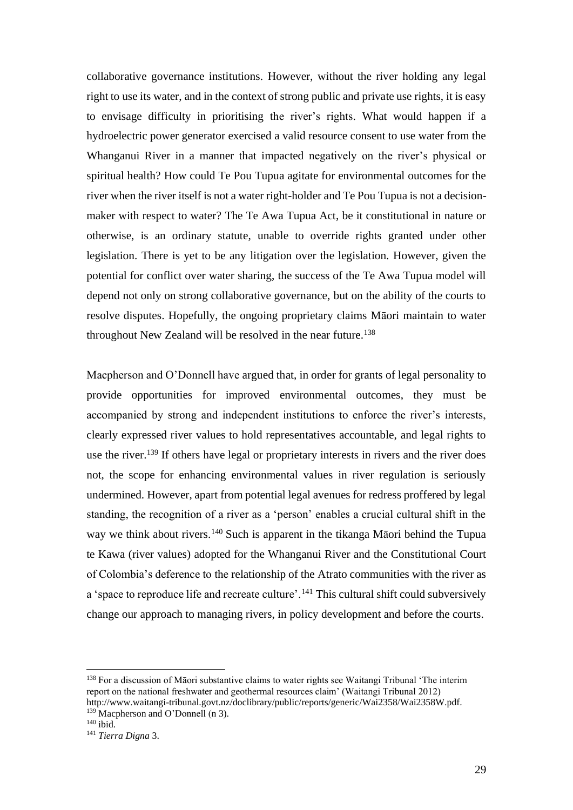collaborative governance institutions. However, without the river holding any legal right to use its water, and in the context of strong public and private use rights, it is easy to envisage difficulty in prioritising the river's rights. What would happen if a hydroelectric power generator exercised a valid resource consent to use water from the Whanganui River in a manner that impacted negatively on the river's physical or spiritual health? How could Te Pou Tupua agitate for environmental outcomes for the river when the river itself is not a water right-holder and Te Pou Tupua is not a decisionmaker with respect to water? The Te Awa Tupua Act, be it constitutional in nature or otherwise, is an ordinary statute, unable to override rights granted under other legislation. There is yet to be any litigation over the legislation. However, given the potential for conflict over water sharing, the success of the Te Awa Tupua model will depend not only on strong collaborative governance, but on the ability of the courts to resolve disputes. Hopefully, the ongoing proprietary claims Māori maintain to water throughout New Zealand will be resolved in the near future. 138

Macpherson and O'Donnell have argued that, in order for grants of legal personality to provide opportunities for improved environmental outcomes, they must be accompanied by strong and independent institutions to enforce the river's interests, clearly expressed river values to hold representatives accountable, and legal rights to use the river.<sup>139</sup> If others have legal or proprietary interests in rivers and the river does not, the scope for enhancing environmental values in river regulation is seriously undermined. However, apart from potential legal avenues for redress proffered by legal standing, the recognition of a river as a 'person' enables a crucial cultural shift in the way we think about rivers.<sup>140</sup> Such is apparent in the tikanga Māori behind the Tupua te Kawa (river values) adopted for the Whanganui River and the Constitutional Court of Colombia's deference to the relationship of the Atrato communities with the river as a 'space to reproduce life and recreate culture'.<sup>141</sup> This cultural shift could subversively change our approach to managing rivers, in policy development and before the courts.

<sup>&</sup>lt;sup>138</sup> For a discussion of Māori substantive claims to water rights see Waitangi Tribunal 'The interim report on the national freshwater and geothermal resources claim' (Waitangi Tribunal 2012) http://www.waitangi-tribunal.govt.nz/doclibrary/public/reports/generic/Wai2358/Wai2358W.pdf. <sup>139</sup> Macpherson and O'Donnell (n 3).

 $140$  ibid.

<sup>141</sup> *Tierra Digna* 3.